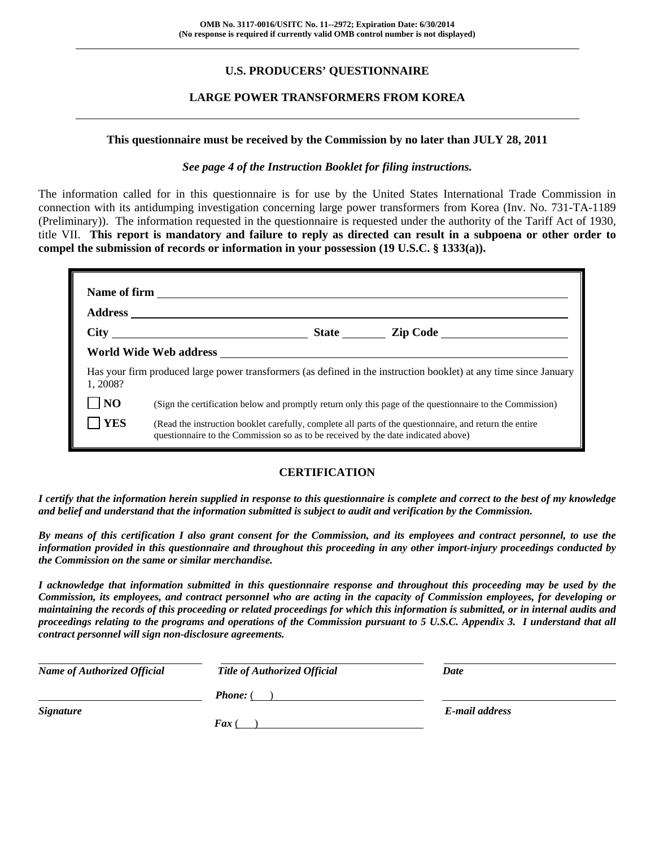## **U.S. PRODUCERS' QUESTIONNAIRE**

## **LARGE POWER TRANSFORMERS FROM KOREA**

#### **This questionnaire must be received by the Commission by no later than JULY 28, 2011**

#### *See page 4 of the Instruction Booklet for filing instructions.*

The information called for in this questionnaire is for use by the United States International Trade Commission in connection with its antidumping investigation concerning large power transformers from Korea (Inv. No. 731-TA-1189 (Preliminary)). The information requested in the questionnaire is requested under the authority of the Tariff Act of 1930, title VII. **This report is mandatory and failure to reply as directed can result in a subpoena or other order to compel the submission of records or information in your possession (19 U.S.C. § 1333(a)).** 

| 1.2008?        | Has your firm produced large power transformers (as defined in the instruction booklet) at any time since January                                                                            |  |
|----------------|----------------------------------------------------------------------------------------------------------------------------------------------------------------------------------------------|--|
| N <sub>O</sub> | (Sign the certification below and promptly return only this page of the questionnaire to the Commission)                                                                                     |  |
| <b>YES</b>     | (Read the instruction booklet carefully, complete all parts of the questionnaire, and return the entire<br>questionnaire to the Commission so as to be received by the date indicated above) |  |

## **CERTIFICATION**

*I certify that the information herein supplied in response to this questionnaire is complete and correct to the best of my knowledge and belief and understand that the information submitted is subject to audit and verification by the Commission.* 

*By means of this certification I also grant consent for the Commission, and its employees and contract personnel, to use the information provided in this questionnaire and throughout this proceeding in any other import-injury proceedings conducted by the Commission on the same or similar merchandise.* 

*I acknowledge that information submitted in this questionnaire response and throughout this proceeding may be used by the Commission, its employees, and contract personnel who are acting in the capacity of Commission employees, for developing or maintaining the records of this proceeding or related proceedings for which this information is submitted, or in internal audits and proceedings relating to the programs and operations of the Commission pursuant to 5 U.S.C. Appendix 3. I understand that all contract personnel will sign non-disclosure agreements.* 

| <b>Name of Authorized Official</b> | <b>Title of Authorized Official</b> | Date           |
|------------------------------------|-------------------------------------|----------------|
|                                    | <b>Phone:</b> (                     |                |
| <b>Signature</b>                   |                                     | E-mail address |
|                                    | $\boldsymbol{F}$ ax (               |                |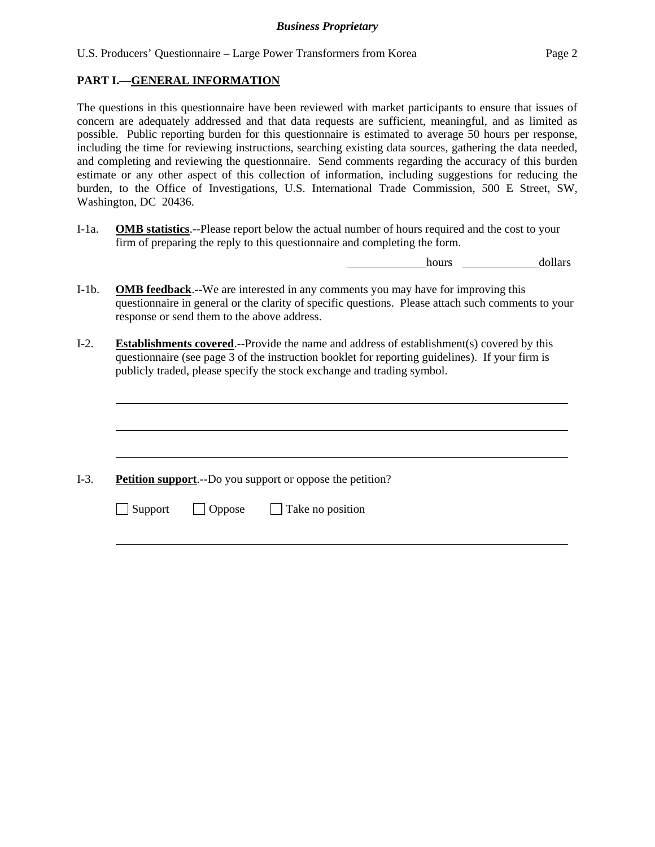## **PART I.—GENERAL INFORMATION**

The questions in this questionnaire have been reviewed with market participants to ensure that issues of concern are adequately addressed and that data requests are sufficient, meaningful, and as limited as possible. Public reporting burden for this questionnaire is estimated to average 50 hours per response, including the time for reviewing instructions, searching existing data sources, gathering the data needed, and completing and reviewing the questionnaire. Send comments regarding the accuracy of this burden estimate or any other aspect of this collection of information, including suggestions for reducing the burden, to the Office of Investigations, U.S. International Trade Commission, 500 E Street, SW, Washington, DC 20436.

I-1a. **OMB statistics**.--Please report below the actual number of hours required and the cost to your firm of preparing the reply to this questionnaire and completing the form.

hours dollars

- I-1b. **OMB feedback**.--We are interested in any comments you may have for improving this questionnaire in general or the clarity of specific questions. Please attach such comments to your response or send them to the above address.
- I-2. **Establishments covered**.--Provide the name and address of establishment(s) covered by this questionnaire (see page 3 of the instruction booklet for reporting guidelines). If your firm is publicly traded, please specify the stock exchange and trading symbol.

I-3. **Petition support**.--Do you support or oppose the petition?

 $\Box$  Support  $\Box$  Oppose  $\Box$  Take no position

l

l

l

l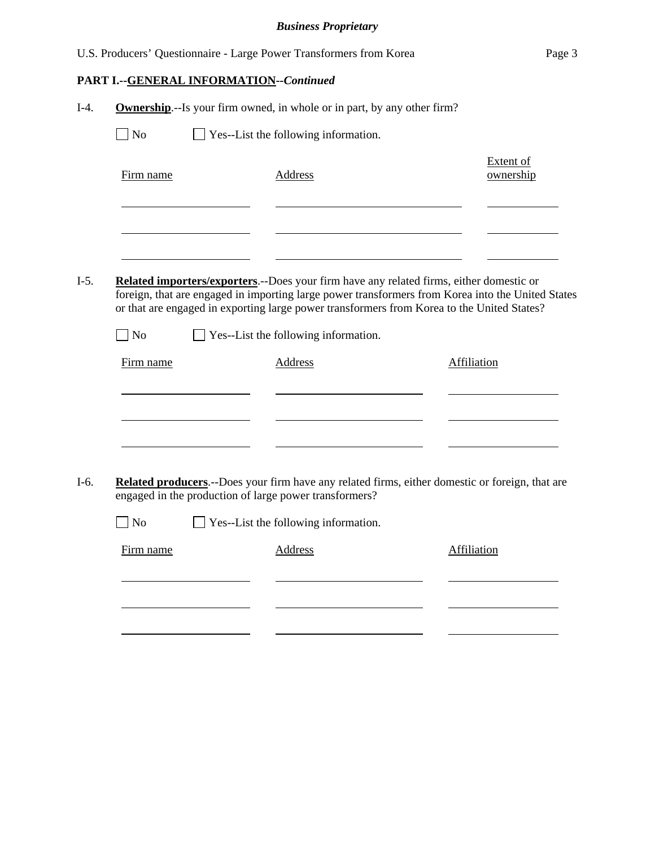|        |           |                                         | U.S. Producers' Questionnaire - Large Power Transformers from Korea                                                                                                                                                                                                                                | Page 3                        |
|--------|-----------|-----------------------------------------|----------------------------------------------------------------------------------------------------------------------------------------------------------------------------------------------------------------------------------------------------------------------------------------------------|-------------------------------|
|        |           | PART I.--GENERAL INFORMATION--Continued |                                                                                                                                                                                                                                                                                                    |                               |
| $I-4.$ |           |                                         | <b>Ownership.</b> --Is your firm owned, in whole or in part, by any other firm?                                                                                                                                                                                                                    |                               |
|        | No        |                                         | Yes--List the following information.                                                                                                                                                                                                                                                               |                               |
|        | Firm name |                                         | <b>Address</b>                                                                                                                                                                                                                                                                                     | <b>Extent of</b><br>ownership |
| $I-5.$ | $\Box$ No |                                         | <b>Related importers/exporters.</b> --Does your firm have any related firms, either domestic or<br>foreign, that are engaged in importing large power transformers from Korea into the United States<br>or that are engaged in exporting large power transformers from Korea to the United States? |                               |
|        |           |                                         | $\Box$ Yes--List the following information.                                                                                                                                                                                                                                                        |                               |
|        | Firm name |                                         | <b>Address</b>                                                                                                                                                                                                                                                                                     | <b>Affiliation</b>            |
|        |           |                                         |                                                                                                                                                                                                                                                                                                    |                               |
| $I-6.$ |           |                                         | Related producers.--Does your firm have any related firms, either domestic or foreign, that are<br>engaged in the production of large power transformers?                                                                                                                                          |                               |
|        | $\Box$ No |                                         | Yes--List the following information.                                                                                                                                                                                                                                                               |                               |
|        | Firm name |                                         | Address                                                                                                                                                                                                                                                                                            | Affiliation                   |
|        |           |                                         |                                                                                                                                                                                                                                                                                                    |                               |
|        |           |                                         |                                                                                                                                                                                                                                                                                                    |                               |
|        |           |                                         |                                                                                                                                                                                                                                                                                                    |                               |
|        |           |                                         |                                                                                                                                                                                                                                                                                                    |                               |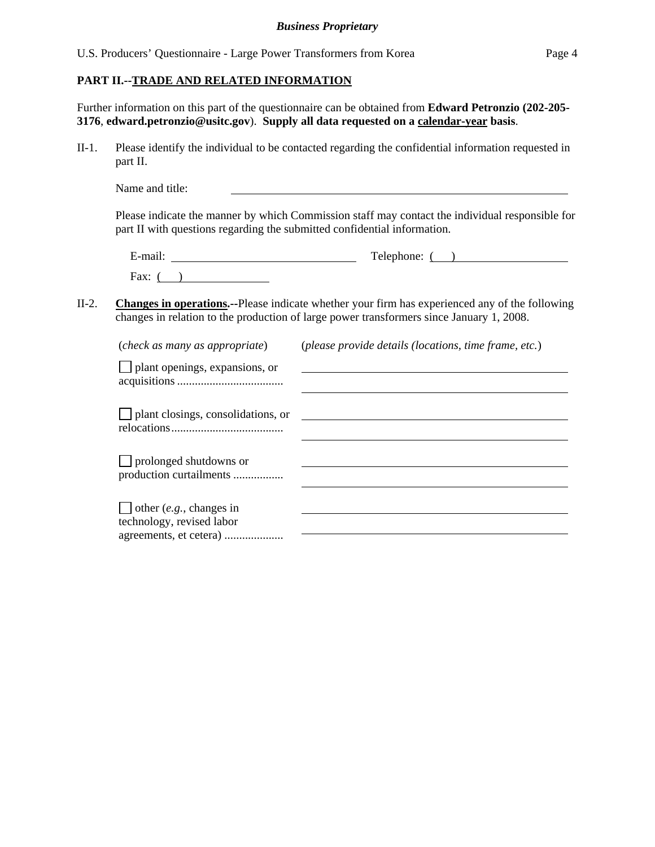## **PART II.--TRADE AND RELATED INFORMATION**

Further information on this part of the questionnaire can be obtained from **Edward Petronzio (202-205- 3176**, **edward.petronzio@usitc.gov**). **Supply all data requested on a calendar-year basis**.

II-1. Please identify the individual to be contacted regarding the confidential information requested in part II.

Name and title:

Please indicate the manner by which Commission staff may contact the individual responsible for part II with questions regarding the submitted confidential information.

| $\cdot$ $\cdot$<br>$-$<br>±-mail: | Telephone: |
|-----------------------------------|------------|
| Fax:                              |            |

II-2. **Changes in operations.--**Please indicate whether your firm has experienced any of the following changes in relation to the production of large power transformers since January 1, 2008.

| (check as many as appropriate)                              | (please provide details (locations, time frame, etc.) |
|-------------------------------------------------------------|-------------------------------------------------------|
| $\Box$ plant openings, expansions, or                       |                                                       |
| $\Box$ plant closings, consolidations, or                   |                                                       |
| $\Box$ prolonged shutdowns or<br>production curtailments    |                                                       |
| $\Box$ other (e.g., changes in<br>technology, revised labor |                                                       |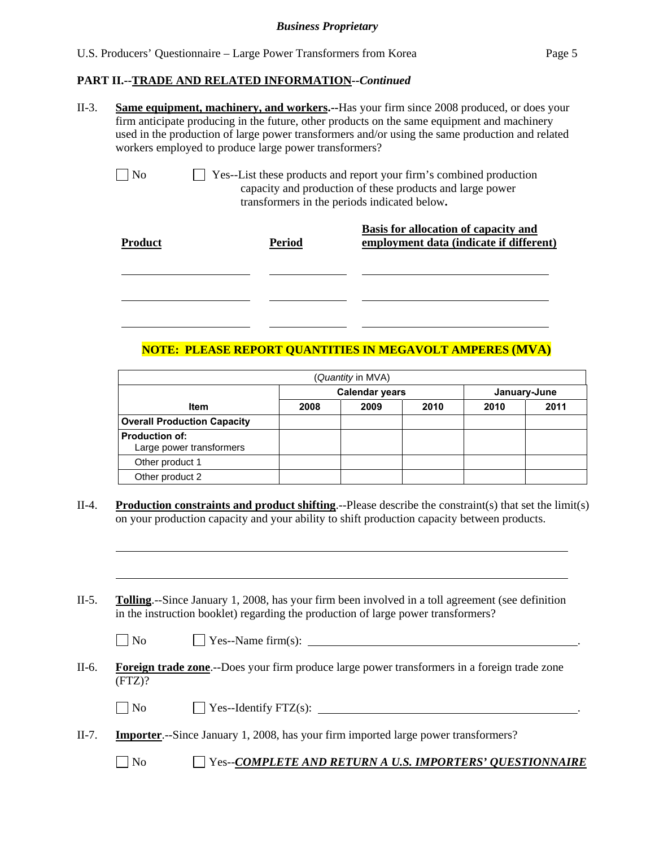## **PART II.--TRADE AND RELATED INFORMATION***--Continued*

II-3. **Same equipment, machinery, and workers.--**Has your firm since 2008 produced, or does your firm anticipate producing in the future, other products on the same equipment and machinery used in the production of large power transformers and/or using the same production and related workers employed to produce large power transformers?

l

l

No Ses-List these products and report your firm's combined production capacity and production of these products and large power transformers in the periods indicated below**.**

| <b>Product</b> | <b>Period</b> | Basis for allocation of capacity and<br>employment data (indicate if different) |
|----------------|---------------|---------------------------------------------------------------------------------|
|                |               |                                                                                 |
|                |               |                                                                                 |

## **NOTE: PLEASE REPORT QUANTITIES IN MEGAVOLT AMPERES (MVA)**

|                                                   |      | (Quantity in MVA)     |      |      |              |
|---------------------------------------------------|------|-----------------------|------|------|--------------|
|                                                   |      | <b>Calendar years</b> |      |      | January-June |
| <b>Item</b>                                       | 2008 | 2009                  | 2010 | 2010 | 2011         |
| <b>Overall Production Capacity</b>                |      |                       |      |      |              |
| <b>Production of:</b><br>Large power transformers |      |                       |      |      |              |
| Other product 1                                   |      |                       |      |      |              |
| Other product 2                                   |      |                       |      |      |              |

II-4. **Production constraints and product shifting**.--Please describe the constraint(s) that set the limit(s) on your production capacity and your ability to shift production capacity between products.

II-5. **Tolling**.--Since January 1, 2008, has your firm been involved in a toll agreement (see definition in the instruction booklet) regarding the production of large power transformers?

| $\Box$ No | $\perp$ Yes--Name firm(s): |  |
|-----------|----------------------------|--|
|-----------|----------------------------|--|

II-6. **Foreign trade zone**.--Does your firm produce large power transformers in a foreign trade zone  $(FTZ)?$ 

| $\Box$ No<br><sup><math>\frac{1}{2}</math></sup> Yes--Identify FTZ(s): |  |
|------------------------------------------------------------------------|--|
|------------------------------------------------------------------------|--|

II-7. **Importer**.--Since January 1, 2008, has your firm imported large power transformers?

No Yes--*COMPLETE AND RETURN A U.S. IMPORTERS' QUESTIONNAIRE*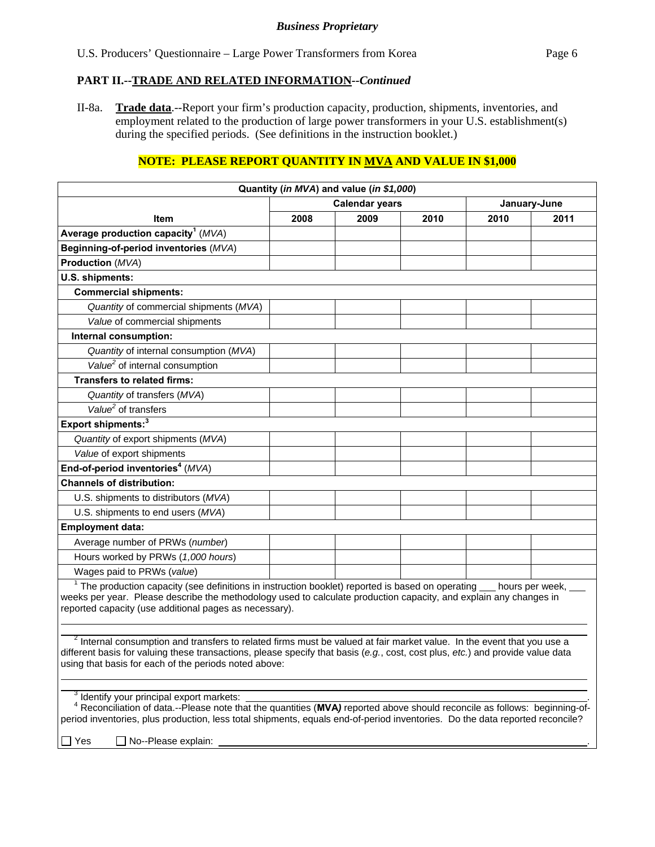## **PART II.--TRADE AND RELATED INFORMATION***--Continued*

II-8a. **Trade data**.--Report your firm's production capacity, production, shipments, inventories, and employment related to the production of large power transformers in your U.S. establishment(s) during the specified periods. (See definitions in the instruction booklet.)

## **NOTE: PLEASE REPORT QUANTITY IN MVA AND VALUE IN \$1,000**

|                                                                                                                                                                                                                                                                                                                                                 |      | Quantity (in MVA) and value (in \$1,000) |      |              |      |
|-------------------------------------------------------------------------------------------------------------------------------------------------------------------------------------------------------------------------------------------------------------------------------------------------------------------------------------------------|------|------------------------------------------|------|--------------|------|
|                                                                                                                                                                                                                                                                                                                                                 |      | <b>Calendar years</b>                    |      | January-June |      |
| Item                                                                                                                                                                                                                                                                                                                                            | 2008 | 2009                                     | 2010 | 2010         | 2011 |
| Average production capacity <sup>1</sup> ( $MVA$ )                                                                                                                                                                                                                                                                                              |      |                                          |      |              |      |
| Beginning-of-period inventories (MVA)                                                                                                                                                                                                                                                                                                           |      |                                          |      |              |      |
| <b>Production (MVA)</b>                                                                                                                                                                                                                                                                                                                         |      |                                          |      |              |      |
| U.S. shipments:                                                                                                                                                                                                                                                                                                                                 |      |                                          |      |              |      |
| <b>Commercial shipments:</b>                                                                                                                                                                                                                                                                                                                    |      |                                          |      |              |      |
| Quantity of commercial shipments (MVA)                                                                                                                                                                                                                                                                                                          |      |                                          |      |              |      |
| Value of commercial shipments                                                                                                                                                                                                                                                                                                                   |      |                                          |      |              |      |
| Internal consumption:                                                                                                                                                                                                                                                                                                                           |      |                                          |      |              |      |
| Quantity of internal consumption (MVA)                                                                                                                                                                                                                                                                                                          |      |                                          |      |              |      |
| Value <sup>2</sup> of internal consumption                                                                                                                                                                                                                                                                                                      |      |                                          |      |              |      |
| <b>Transfers to related firms:</b>                                                                                                                                                                                                                                                                                                              |      |                                          |      |              |      |
| Quantity of transfers (MVA)                                                                                                                                                                                                                                                                                                                     |      |                                          |      |              |      |
| Value <sup>2</sup> of transfers                                                                                                                                                                                                                                                                                                                 |      |                                          |      |              |      |
| Export shipments: <sup>3</sup>                                                                                                                                                                                                                                                                                                                  |      |                                          |      |              |      |
| Quantity of export shipments (MVA)                                                                                                                                                                                                                                                                                                              |      |                                          |      |              |      |
| Value of export shipments                                                                                                                                                                                                                                                                                                                       |      |                                          |      |              |      |
| End-of-period inventories <sup>4</sup> (MVA)                                                                                                                                                                                                                                                                                                    |      |                                          |      |              |      |
| <b>Channels of distribution:</b>                                                                                                                                                                                                                                                                                                                |      |                                          |      |              |      |
| U.S. shipments to distributors (MVA)                                                                                                                                                                                                                                                                                                            |      |                                          |      |              |      |
| U.S. shipments to end users (MVA)                                                                                                                                                                                                                                                                                                               |      |                                          |      |              |      |
| <b>Employment data:</b>                                                                                                                                                                                                                                                                                                                         |      |                                          |      |              |      |
| Average number of PRWs (number)                                                                                                                                                                                                                                                                                                                 |      |                                          |      |              |      |
| Hours worked by PRWs (1,000 hours)                                                                                                                                                                                                                                                                                                              |      |                                          |      |              |      |
| Wages paid to PRWs (value)                                                                                                                                                                                                                                                                                                                      |      |                                          |      |              |      |
| $1$ The production capacity (see definitions in instruction booklet) reported is based on operating $\_\_$ hours per week,<br>weeks per year. Please describe the methodology used to calculate production capacity, and explain any changes in<br>reported capacity (use additional pages as necessary).                                       |      |                                          |      |              |      |
| <sup>2</sup> Internal consumption and transfers to related firms must be valued at fair market value. In the event that you use a<br>different basis for valuing these transactions, please specify that basis (e.g., cost, cost plus, etc.) and provide value data<br>using that basis for each of the periods noted above:                    |      |                                          |      |              |      |
| <sup>3</sup> Identify your principal export markets:<br>Reconciliation of data.--Please note that the quantities (MVA) reported above should reconcile as follows: beginning-of-<br>period inventories, plus production, less total shipments, equals end-of-period inventories. Do the data reported reconcile?<br>No--Please explain:<br>]Yes |      |                                          |      |              |      |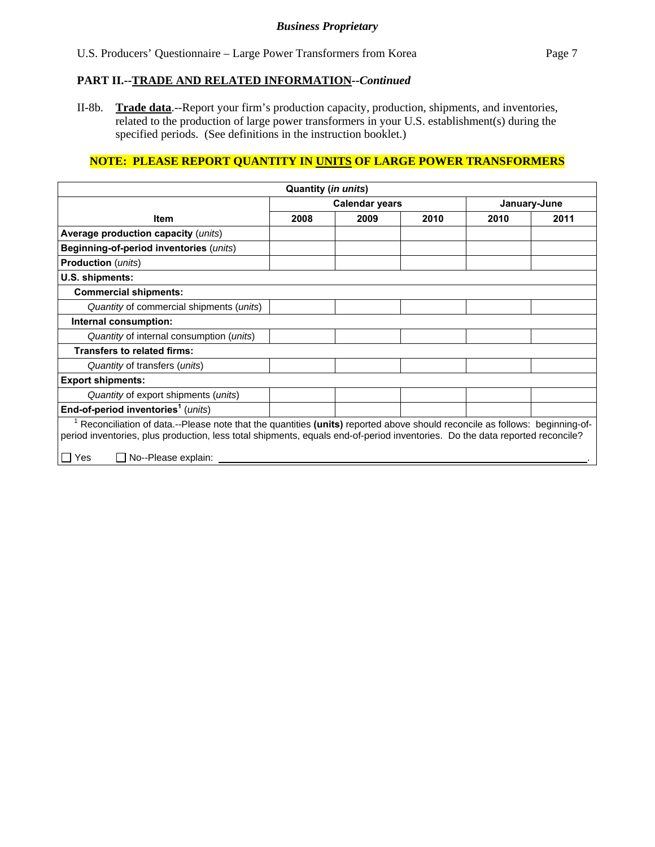## *Business Proprietary*

## **PART II.--TRADE AND RELATED INFORMATION***--Continued*

II-8b. **Trade data**.--Report your firm's production capacity, production, shipments, and inventories, related to the production of large power transformers in your U.S. establishment(s) during the specified periods. (See definitions in the instruction booklet.)

# **NOTE: PLEASE REPORT QUANTITY IN UNITS OF LARGE POWER TRANSFORMERS**

|                                                                                                                                                                                                                                                            | Quantity (in units) |                       |      |              |      |
|------------------------------------------------------------------------------------------------------------------------------------------------------------------------------------------------------------------------------------------------------------|---------------------|-----------------------|------|--------------|------|
|                                                                                                                                                                                                                                                            |                     | <b>Calendar years</b> |      | January-June |      |
| <b>Item</b>                                                                                                                                                                                                                                                | 2008                | 2009                  | 2010 | 2010         | 2011 |
| Average production capacity (units)                                                                                                                                                                                                                        |                     |                       |      |              |      |
| Beginning-of-period inventories (units)                                                                                                                                                                                                                    |                     |                       |      |              |      |
| <b>Production</b> ( <i>units</i> )                                                                                                                                                                                                                         |                     |                       |      |              |      |
| U.S. shipments:                                                                                                                                                                                                                                            |                     |                       |      |              |      |
| <b>Commercial shipments:</b>                                                                                                                                                                                                                               |                     |                       |      |              |      |
| Quantity of commercial shipments (units)                                                                                                                                                                                                                   |                     |                       |      |              |      |
| Internal consumption:                                                                                                                                                                                                                                      |                     |                       |      |              |      |
| Quantity of internal consumption (units)                                                                                                                                                                                                                   |                     |                       |      |              |      |
| <b>Transfers to related firms:</b>                                                                                                                                                                                                                         |                     |                       |      |              |      |
| Quantity of transfers (units)                                                                                                                                                                                                                              |                     |                       |      |              |      |
| <b>Export shipments:</b>                                                                                                                                                                                                                                   |                     |                       |      |              |      |
| Quantity of export shipments (units)                                                                                                                                                                                                                       |                     |                       |      |              |      |
| End-of-period inventories <sup>1</sup> (units)                                                                                                                                                                                                             |                     |                       |      |              |      |
| Reconciliation of data.--Please note that the quantities (units) reported above should reconcile as follows: beginning-of-<br>period inventories, plus production, less total shipments, equals end-of-period inventories. Do the data reported reconcile? |                     |                       |      |              |      |
| No--Please explain:<br>Yes                                                                                                                                                                                                                                 |                     |                       |      |              |      |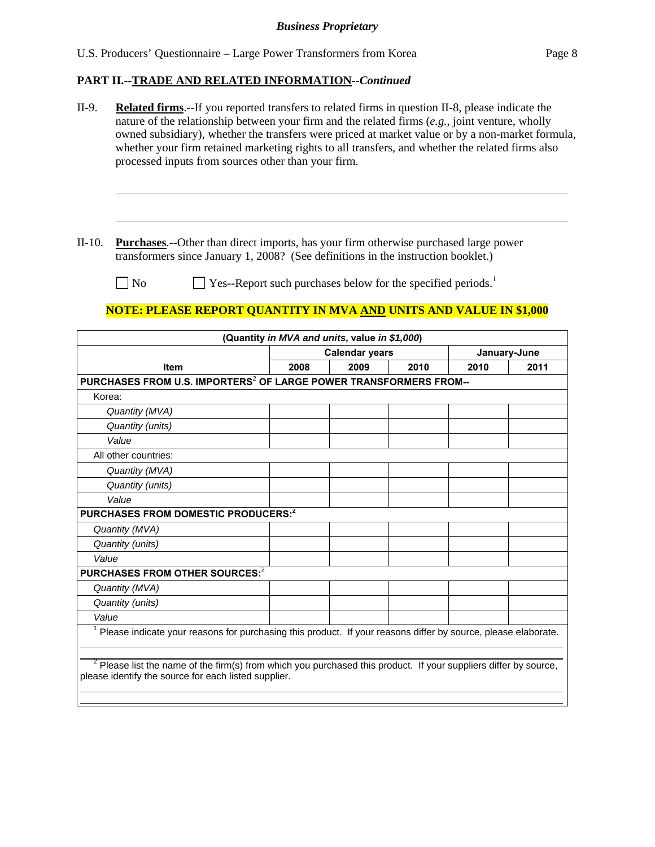# **PART II.--TRADE AND RELATED INFORMATION***--Continued*

| II-9.    | <b>Related firms.</b> --If you reported transfers to related firms in question II-8, please indicate the<br>nature of the relationship between your firm and the related firms $(e.g.,)$ joint venture, wholly<br>owned subsidiary), whether the transfers were priced at market value or by a non-market formula,<br>whether your firm retained marketing rights to all transfers, and whether the related firms also<br>processed inputs from sources other than your firm. |      |                                               |      |      |              |  |
|----------|-------------------------------------------------------------------------------------------------------------------------------------------------------------------------------------------------------------------------------------------------------------------------------------------------------------------------------------------------------------------------------------------------------------------------------------------------------------------------------|------|-----------------------------------------------|------|------|--------------|--|
| $II-10.$ | <b>Purchases.</b> --Other than direct imports, has your firm otherwise purchased large power                                                                                                                                                                                                                                                                                                                                                                                  |      |                                               |      |      |              |  |
|          | transformers since January 1, 2008? (See definitions in the instruction booklet.)                                                                                                                                                                                                                                                                                                                                                                                             |      |                                               |      |      |              |  |
|          | N <sub>o</sub><br>$\blacksquare$ Yes--Report such purchases below for the specified periods.                                                                                                                                                                                                                                                                                                                                                                                  |      |                                               |      |      |              |  |
|          |                                                                                                                                                                                                                                                                                                                                                                                                                                                                               |      |                                               |      |      |              |  |
|          | NOTE: PLEASE REPORT QUANTITY IN MVA AND UNITS AND VALUE IN \$1,000                                                                                                                                                                                                                                                                                                                                                                                                            |      |                                               |      |      |              |  |
|          |                                                                                                                                                                                                                                                                                                                                                                                                                                                                               |      | (Quantity in MVA and units, value in \$1,000) |      |      |              |  |
|          |                                                                                                                                                                                                                                                                                                                                                                                                                                                                               |      | <b>Calendar years</b>                         |      |      | January-June |  |
|          | <b>Item</b>                                                                                                                                                                                                                                                                                                                                                                                                                                                                   | 2008 | 2009                                          | 2010 | 2010 | 2011         |  |
|          | PURCHASES FROM U.S. IMPORTERS <sup>2</sup> OF LARGE POWER TRANSFORMERS FROM--                                                                                                                                                                                                                                                                                                                                                                                                 |      |                                               |      |      |              |  |
| Korea:   |                                                                                                                                                                                                                                                                                                                                                                                                                                                                               |      |                                               |      |      |              |  |
|          | Quantity (MVA)                                                                                                                                                                                                                                                                                                                                                                                                                                                                |      |                                               |      |      |              |  |
|          | Quantity (units)                                                                                                                                                                                                                                                                                                                                                                                                                                                              |      |                                               |      |      |              |  |
|          | Value                                                                                                                                                                                                                                                                                                                                                                                                                                                                         |      |                                               |      |      |              |  |
|          | All other countries:                                                                                                                                                                                                                                                                                                                                                                                                                                                          |      |                                               |      |      |              |  |
|          | Quantity (MVA)                                                                                                                                                                                                                                                                                                                                                                                                                                                                |      |                                               |      |      |              |  |
|          | Quantity (units)                                                                                                                                                                                                                                                                                                                                                                                                                                                              |      |                                               |      |      |              |  |
|          | Value                                                                                                                                                                                                                                                                                                                                                                                                                                                                         |      |                                               |      |      |              |  |
|          | PURCHASES FROM DOMESTIC PRODUCERS: <sup>2</sup>                                                                                                                                                                                                                                                                                                                                                                                                                               |      |                                               |      |      |              |  |
|          |                                                                                                                                                                                                                                                                                                                                                                                                                                                                               |      |                                               |      |      |              |  |
|          | Quantity (MVA)                                                                                                                                                                                                                                                                                                                                                                                                                                                                |      |                                               |      |      |              |  |
|          | Quantity (units)                                                                                                                                                                                                                                                                                                                                                                                                                                                              |      |                                               |      |      |              |  |
| Value    |                                                                                                                                                                                                                                                                                                                                                                                                                                                                               |      |                                               |      |      |              |  |
|          | PURCHASES FROM OTHER SOURCES: <sup>2</sup>                                                                                                                                                                                                                                                                                                                                                                                                                                    |      |                                               |      |      |              |  |
|          | Quantity (MVA)                                                                                                                                                                                                                                                                                                                                                                                                                                                                |      |                                               |      |      |              |  |
|          | Quantity (units)                                                                                                                                                                                                                                                                                                                                                                                                                                                              |      |                                               |      |      |              |  |
| Value    |                                                                                                                                                                                                                                                                                                                                                                                                                                                                               |      |                                               |      |      |              |  |
|          | <sup>1</sup> Please indicate your reasons for purchasing this product. If your reasons differ by source, please elaborate.                                                                                                                                                                                                                                                                                                                                                    |      |                                               |      |      |              |  |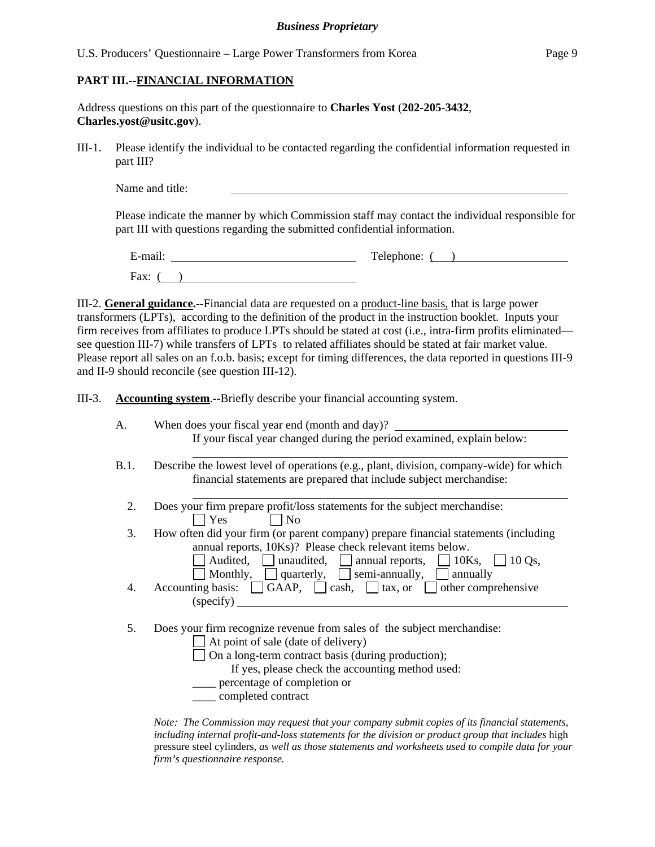## **PART III.--FINANCIAL INFORMATION**

Address questions on this part of the questionnaire to **Charles Yost** (**202-205**-**3432**, **Charles.yost@usitc.gov**).

III-1. Please identify the individual to be contacted regarding the confidential information requested in part III?

Name and title:

Please indicate the manner by which Commission staff may contact the individual responsible for part III with questions regarding the submitted confidential information.

E-mail: Telephone: ( ) Fax:  $($ )

III-2. **General guidance.--**Financial data are requested on a product-line basis, that is large power transformers (LPTs), according to the definition of the product in the instruction booklet. Inputs your firm receives from affiliates to produce LPTs should be stated at cost (i.e., intra-firm profits eliminated see question III-7) while transfers of LPTs to related affiliates should be stated at fair market value. Please report all sales on an f.o.b. basis; except for timing differences, the data reported in questions III-9 and II-9 should reconcile (see question III-12).

III-3. **Accounting system**.--Briefly describe your financial accounting system.

| A.   | When does your fiscal year end (month and day)?                                                                                                                                                                                                                                               |
|------|-----------------------------------------------------------------------------------------------------------------------------------------------------------------------------------------------------------------------------------------------------------------------------------------------|
|      | If your fiscal year changed during the period examined, explain below:                                                                                                                                                                                                                        |
| B.1. | Describe the lowest level of operations (e.g., plant, division, company-wide) for which<br>financial statements are prepared that include subject merchandise:                                                                                                                                |
| 2.   | Does your firm prepare profit/loss statements for the subject merchandise:<br>Yes<br>$\vert$   No                                                                                                                                                                                             |
| 3.   | How often did your firm (or parent company) prepare financial statements (including<br>annual reports, 10Ks)? Please check relevant items below.<br>Audited, unaudited, $\Box$ annual reports, $\Box$ 10Ks, $\Box$ 10 Qs,<br>Monthly, $\Box$ quarterly, $\Box$ semi-annually, $\Box$ annually |
| 4.   | Accounting basis: $\Box$ GAAP, $\Box$ cash, $\Box$ tax, or $\Box$ other comprehensive<br>(specify)                                                                                                                                                                                            |
| 5.   | Does your firm recognize revenue from sales of the subject merchandise:<br>At point of sale (date of delivery)<br>On a long-term contract basis (during production);<br>If yes, please check the accounting method used:<br>percentage of completion or<br>completed contract                 |

*Note: The Commission may request that your company submit copies of its financial statements, including internal profit-and-loss statements for the division or product group that includes* high pressure steel cylinders*, as well as those statements and worksheets used to compile data for your firm's questionnaire response.*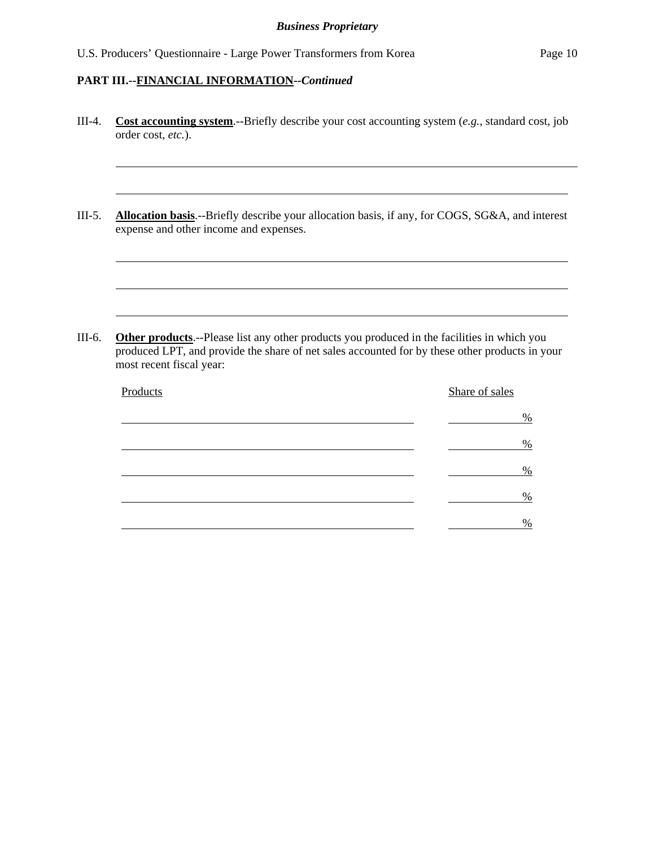$\overline{a}$ 

l

l

l

l

- III-4. **Cost accounting system**.--Briefly describe your cost accounting system (*e.g.*, standard cost, job order cost, *etc.*).
- III-5. **Allocation basis**.--Briefly describe your allocation basis, if any, for COGS, SG&A, and interest expense and other income and expenses.

III-6. **Other products**.--Please list any other products you produced in the facilities in which you produced LPT, and provide the share of net sales accounted for by these other products in your most recent fiscal year:

| Products | Share of sales |
|----------|----------------|
|          | %              |
|          | $\%$           |
|          | $\%$           |
|          | %              |
|          | %              |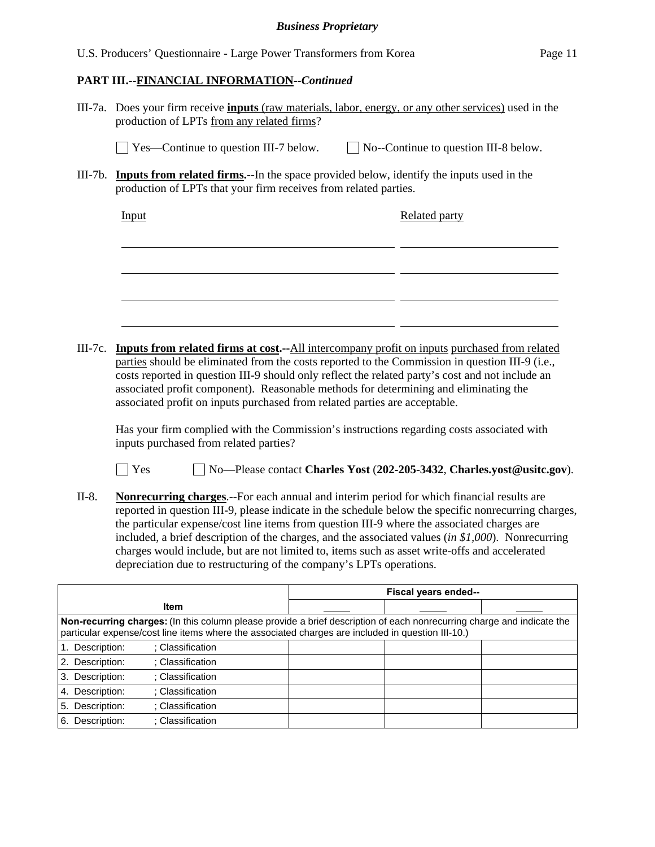|                 |                                                                                                                                                                                                                                                                                                                                                                                                                                                                                                                                                                                          | <b>Business Proprietary</b> |  |                                              |                                                                        |  |
|-----------------|------------------------------------------------------------------------------------------------------------------------------------------------------------------------------------------------------------------------------------------------------------------------------------------------------------------------------------------------------------------------------------------------------------------------------------------------------------------------------------------------------------------------------------------------------------------------------------------|-----------------------------|--|----------------------------------------------|------------------------------------------------------------------------|--|
|                 | U.S. Producers' Questionnaire - Large Power Transformers from Korea                                                                                                                                                                                                                                                                                                                                                                                                                                                                                                                      |                             |  |                                              | Page 11                                                                |  |
|                 | PART III.--FINANCIAL INFORMATION--Continued                                                                                                                                                                                                                                                                                                                                                                                                                                                                                                                                              |                             |  |                                              |                                                                        |  |
|                 | III-7a. Does your firm receive <b>inputs</b> (raw materials, labor, energy, or any other services) used in the<br>production of LPTs from any related firms?                                                                                                                                                                                                                                                                                                                                                                                                                             |                             |  |                                              |                                                                        |  |
|                 | $\Box$ Yes—Continue to question III-7 below.                                                                                                                                                                                                                                                                                                                                                                                                                                                                                                                                             |                             |  | $\Box$ No--Continue to question III-8 below. |                                                                        |  |
|                 | III-7b. <b>Inputs from related firms.</b> --In the space provided below, identify the inputs used in the<br>production of LPTs that your firm receives from related parties.                                                                                                                                                                                                                                                                                                                                                                                                             |                             |  |                                              |                                                                        |  |
|                 | Input                                                                                                                                                                                                                                                                                                                                                                                                                                                                                                                                                                                    |                             |  | Related party                                |                                                                        |  |
|                 |                                                                                                                                                                                                                                                                                                                                                                                                                                                                                                                                                                                          |                             |  |                                              |                                                                        |  |
|                 |                                                                                                                                                                                                                                                                                                                                                                                                                                                                                                                                                                                          |                             |  |                                              |                                                                        |  |
|                 |                                                                                                                                                                                                                                                                                                                                                                                                                                                                                                                                                                                          |                             |  |                                              |                                                                        |  |
|                 |                                                                                                                                                                                                                                                                                                                                                                                                                                                                                                                                                                                          |                             |  |                                              |                                                                        |  |
| $III-7c.$       | Inputs from related firms at cost.--All intercompany profit on inputs purchased from related<br>parties should be eliminated from the costs reported to the Commission in question III-9 (i.e.,<br>costs reported in question III-9 should only reflect the related party's cost and not include an<br>associated profit component). Reasonable methods for determining and eliminating the<br>associated profit on inputs purchased from related parties are acceptable.                                                                                                                |                             |  |                                              |                                                                        |  |
|                 | Has your firm complied with the Commission's instructions regarding costs associated with<br>inputs purchased from related parties?                                                                                                                                                                                                                                                                                                                                                                                                                                                      |                             |  |                                              |                                                                        |  |
|                 | <b>Yes</b>                                                                                                                                                                                                                                                                                                                                                                                                                                                                                                                                                                               |                             |  |                                              | No-Please contact Charles Yost (202-205-3432, Charles.yost@usitc.gov). |  |
| $II-8.$         | <b>Nonrecurring charges.</b> --For each annual and interim period for which financial results are<br>reported in question III-9, please indicate in the schedule below the specific nonrecurring charges,<br>the particular expense/cost line items from question III-9 where the associated charges are<br>included, a brief description of the charges, and the associated values (in $$1,000$ ). Nonrecurring<br>charges would include, but are not limited to, items such as asset write-offs and accelerated<br>depreciation due to restructuring of the company's LPTs operations. |                             |  |                                              |                                                                        |  |
|                 |                                                                                                                                                                                                                                                                                                                                                                                                                                                                                                                                                                                          |                             |  | Fiscal years ended--                         |                                                                        |  |
|                 | Item<br>Non-recurring charges: (In this column please provide a brief description of each nonrecurring charge and indicate the                                                                                                                                                                                                                                                                                                                                                                                                                                                           |                             |  |                                              |                                                                        |  |
| 1. Description: | particular expense/cost line items where the associated charges are included in question III-10.)<br>: Classification                                                                                                                                                                                                                                                                                                                                                                                                                                                                    |                             |  |                                              |                                                                        |  |
|                 |                                                                                                                                                                                                                                                                                                                                                                                                                                                                                                                                                                                          |                             |  |                                              |                                                                        |  |

| Description:       | : Classification |  |  |
|--------------------|------------------|--|--|
| Description:<br>2. | : Classification |  |  |
| 3. Description:    | : Classification |  |  |
| 4. Description:    | : Classification |  |  |
| 5. Description:    | : Classification |  |  |
| 6. Description:    | : Classification |  |  |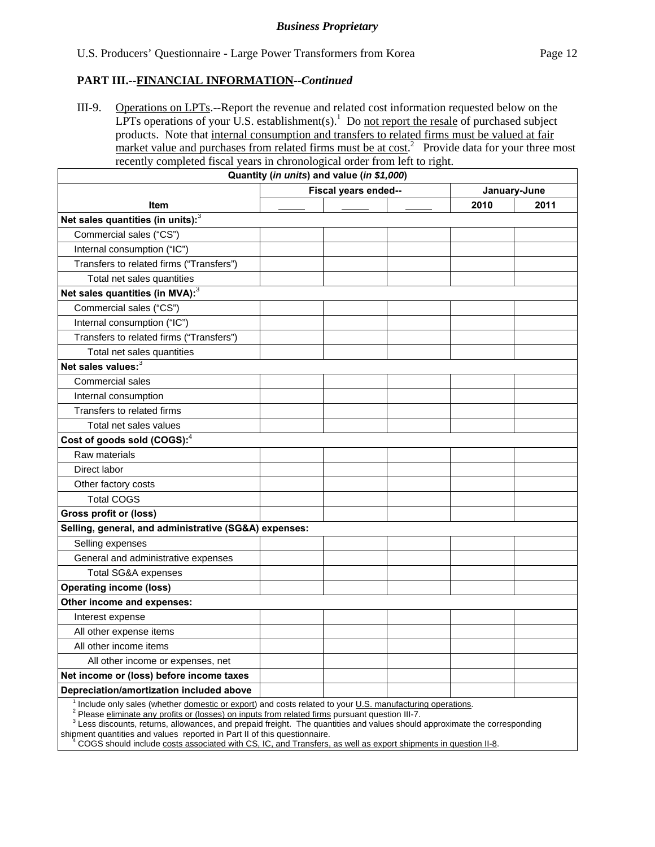III-9. Operations on LPTs.--Report the revenue and related cost information requested below on the LPTs operations of your U.S. establishment(s).<sup>1</sup> Do not report the resale of purchased subject products. Note that internal consumption and transfers to related firms must be valued at fair market value and purchases from related firms must be at  $cost<sup>2</sup>$ . Provide data for your three most recently completed fiscal years in chronological order from left to right.

|                                                                                                                                                                                                            | Quantity (in units) and value (in \$1,000) |  |      |      |
|------------------------------------------------------------------------------------------------------------------------------------------------------------------------------------------------------------|--------------------------------------------|--|------|------|
|                                                                                                                                                                                                            | Fiscal years ended--                       |  |      |      |
| <b>Item</b>                                                                                                                                                                                                |                                            |  | 2010 | 2011 |
| Net sales quantities (in units): <sup>3</sup>                                                                                                                                                              |                                            |  |      |      |
| Commercial sales ("CS")                                                                                                                                                                                    |                                            |  |      |      |
| Internal consumption ("IC")                                                                                                                                                                                |                                            |  |      |      |
| Transfers to related firms ("Transfers")                                                                                                                                                                   |                                            |  |      |      |
| Total net sales quantities                                                                                                                                                                                 |                                            |  |      |      |
| Net sales quantities (in MVA): <sup>3</sup>                                                                                                                                                                |                                            |  |      |      |
| Commercial sales ("CS")                                                                                                                                                                                    |                                            |  |      |      |
| Internal consumption ("IC")                                                                                                                                                                                |                                            |  |      |      |
| Transfers to related firms ("Transfers")                                                                                                                                                                   |                                            |  |      |      |
| Total net sales quantities                                                                                                                                                                                 |                                            |  |      |      |
| Net sales values: <sup>3</sup>                                                                                                                                                                             |                                            |  |      |      |
| <b>Commercial sales</b>                                                                                                                                                                                    |                                            |  |      |      |
| Internal consumption                                                                                                                                                                                       |                                            |  |      |      |
| Transfers to related firms                                                                                                                                                                                 |                                            |  |      |      |
| Total net sales values                                                                                                                                                                                     |                                            |  |      |      |
| Cost of goods sold (COGS): <sup>4</sup>                                                                                                                                                                    |                                            |  |      |      |
| Raw materials                                                                                                                                                                                              |                                            |  |      |      |
| Direct labor                                                                                                                                                                                               |                                            |  |      |      |
| Other factory costs                                                                                                                                                                                        |                                            |  |      |      |
| <b>Total COGS</b>                                                                                                                                                                                          |                                            |  |      |      |
| <b>Gross profit or (loss)</b>                                                                                                                                                                              |                                            |  |      |      |
| Selling, general, and administrative (SG&A) expenses:                                                                                                                                                      |                                            |  |      |      |
| Selling expenses                                                                                                                                                                                           |                                            |  |      |      |
| General and administrative expenses                                                                                                                                                                        |                                            |  |      |      |
| <b>Total SG&amp;A expenses</b>                                                                                                                                                                             |                                            |  |      |      |
| <b>Operating income (loss)</b>                                                                                                                                                                             |                                            |  |      |      |
| Other income and expenses:                                                                                                                                                                                 |                                            |  |      |      |
| Interest expense                                                                                                                                                                                           |                                            |  |      |      |
| All other expense items                                                                                                                                                                                    |                                            |  |      |      |
| All other income items                                                                                                                                                                                     |                                            |  |      |      |
| All other income or expenses, net                                                                                                                                                                          |                                            |  |      |      |
| Net income or (loss) before income taxes                                                                                                                                                                   |                                            |  |      |      |
| Depreciation/amortization included above                                                                                                                                                                   |                                            |  |      |      |
| Include only sales (whether domestic or export) and costs related to your U.S. manufacturing operations.<br>Please eliminate any profits or (losses) on inputs from related firms pursuant question III-7. |                                            |  |      |      |

<sup>3</sup> Less discounts, returns, allowances, and prepaid freight. The quantities and values should approximate the corresponding shipment quantities and values reported in Part II of this questionnaire.

<sup>4</sup> COGS should include costs associated with CS, IC, and Transfers, as well as export shipments in question II-8.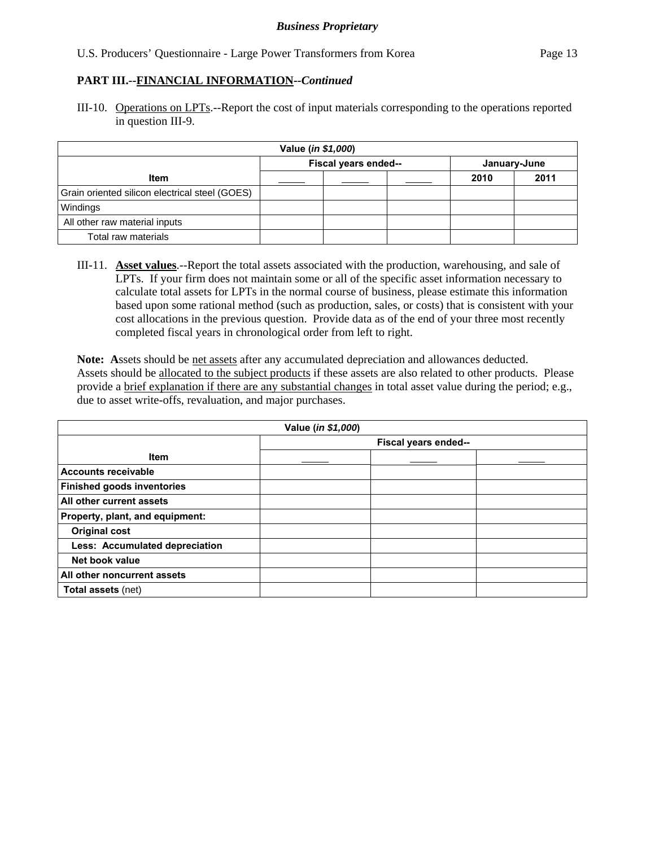III-10. Operations on LPTs.--Report the cost of input materials corresponding to the operations reported in question III-9.

| Value (in \$1,000)                             |  |  |  |      |              |  |
|------------------------------------------------|--|--|--|------|--------------|--|
| Fiscal years ended--                           |  |  |  |      | January-June |  |
| <b>Item</b>                                    |  |  |  | 2010 | 2011         |  |
| Grain oriented silicon electrical steel (GOES) |  |  |  |      |              |  |
| Windings                                       |  |  |  |      |              |  |
| All other raw material inputs                  |  |  |  |      |              |  |
| Total raw materials                            |  |  |  |      |              |  |

III-11. **Asset values**.--Report the total assets associated with the production, warehousing, and sale of LPTs. If your firm does not maintain some or all of the specific asset information necessary to calculate total assets for LPTs in the normal course of business, please estimate this information based upon some rational method (such as production, sales, or costs) that is consistent with your cost allocations in the previous question. Provide data as of the end of your three most recently completed fiscal years in chronological order from left to right.

**Note: A**ssets should be net assets after any accumulated depreciation and allowances deducted. Assets should be allocated to the subject products if these assets are also related to other products. Please provide a brief explanation if there are any substantial changes in total asset value during the period; e.g., due to asset write-offs, revaluation, and major purchases.

| Value (in \$1,000)                |  |  |  |  |
|-----------------------------------|--|--|--|--|
| Fiscal years ended--              |  |  |  |  |
| <b>Item</b>                       |  |  |  |  |
| <b>Accounts receivable</b>        |  |  |  |  |
| <b>Finished goods inventories</b> |  |  |  |  |
| All other current assets          |  |  |  |  |
| Property, plant, and equipment:   |  |  |  |  |
| <b>Original cost</b>              |  |  |  |  |
| Less: Accumulated depreciation    |  |  |  |  |
| Net book value                    |  |  |  |  |
| All other noncurrent assets       |  |  |  |  |
| <b>Total assets (net)</b>         |  |  |  |  |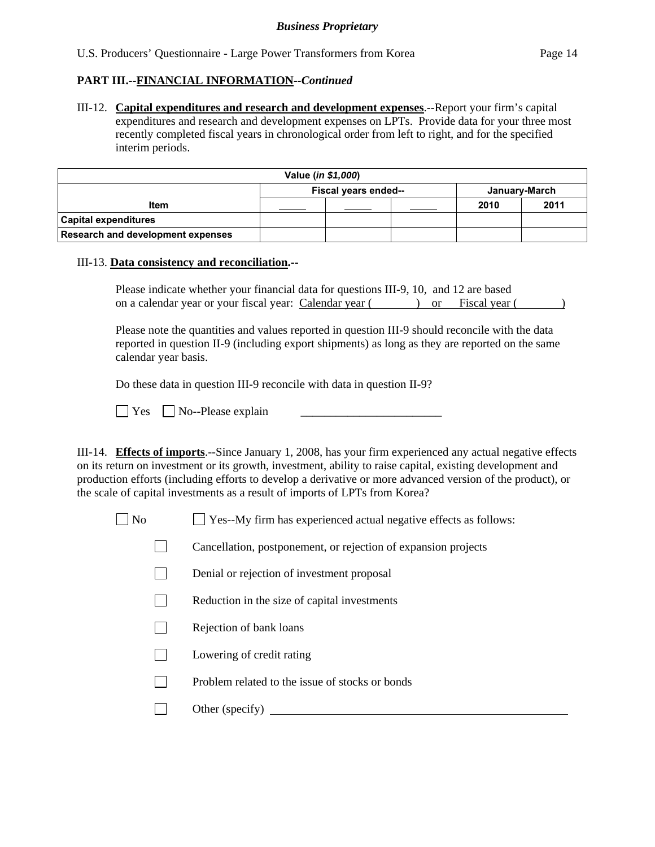III-12. **Capital expenditures and research and development expenses**.--Report your firm's capital expenditures and research and development expenses on LPTs. Provide data for your three most recently completed fiscal years in chronological order from left to right, and for the specified interim periods.

| Value ( <i>in \$1,000</i> )           |  |  |  |      |      |
|---------------------------------------|--|--|--|------|------|
| Fiscal years ended--<br>January-March |  |  |  |      |      |
| <b>Item</b>                           |  |  |  | 2010 | 2011 |
| <b>Capital expenditures</b>           |  |  |  |      |      |
| Research and development expenses     |  |  |  |      |      |

#### III-13. **Data consistency and reconciliation.--**

Please indicate whether your financial data for questions III-9, 10, and 12 are based on a calendar year or your fiscal year: Calendar year ( ) or Fiscal year ( )

Please note the quantities and values reported in question III-9 should reconcile with the data reported in question II-9 (including export shipments) as long as they are reported on the same calendar year basis.

Do these data in question III-9 reconcile with data in question II-9?

 $\Box$  Yes  $\Box$  No--Please explain

III-14. **Effects of imports**.--Since January 1, 2008, has your firm experienced any actual negative effects on its return on investment or its growth, investment, ability to raise capital, existing development and production efforts (including efforts to develop a derivative or more advanced version of the product), or the scale of capital investments as a result of imports of LPTs from Korea?

 $\Box$  No  $\Box$  Yes--My firm has experienced actual negative effects as follows:

- Cancellation, postponement, or rejection of expansion projects
- Denial or rejection of investment proposal
- $\Box$  Reduction in the size of capital investments
- $\Box$  Rejection of bank loans
- **Lowering of credit rating**
- $\Box$  Problem related to the issue of stocks or bonds
- Other (specify)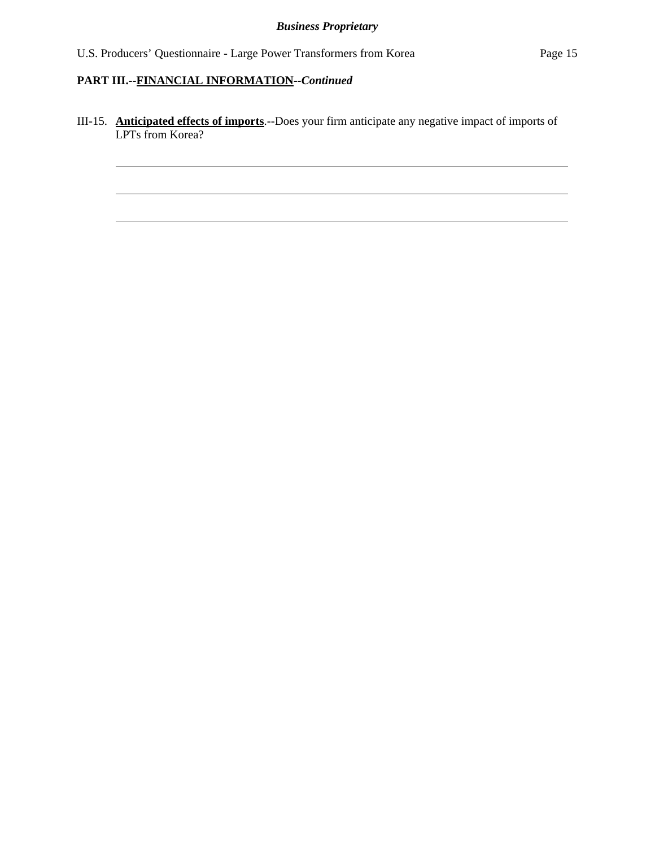l

l

l

III-15. **Anticipated effects of imports**.--Does your firm anticipate any negative impact of imports of LPTs from Korea?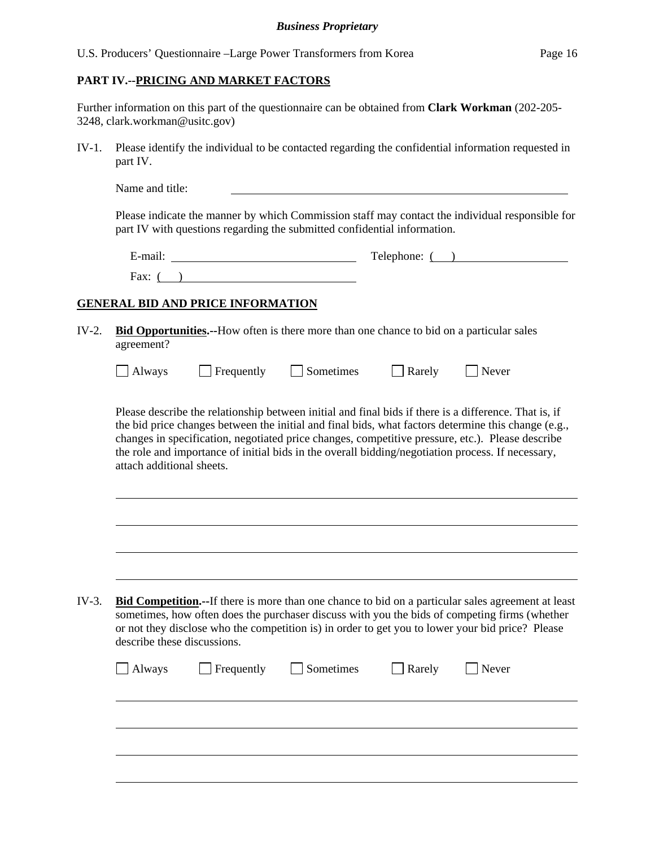## **PART IV.--PRICING AND MARKET FACTORS**

Further information on this part of the questionnaire can be obtained from **Clark Workman** (202-205- 3248, clark.workman@usitc.gov)

IV-1. Please identify the individual to be contacted regarding the confidential information requested in part IV.

| Name and title: |  |  |
|-----------------|--|--|
|                 |  |  |

Please indicate the manner by which Commission staff may contact the individual responsible for part IV with questions regarding the submitted confidential information.

| $\cdot$ $\cdot$ $\cdot$<br>±-mail<br>- | Telephone: |
|----------------------------------------|------------|
| Fax:                                   |            |

## **GENERAL BID AND PRICE INFORMATION**

 $\overline{a}$ 

l

| IV-2. <b>Bid Opportunities.</b> --How often is there more than one chance to bid on a particular sales |
|--------------------------------------------------------------------------------------------------------|
| agreement?                                                                                             |

| $\Box$ Always | $\Box$ Frequently | Sometimes | $\Box$ Rarely | $\Box$ Never |
|---------------|-------------------|-----------|---------------|--------------|
|---------------|-------------------|-----------|---------------|--------------|

Please describe the relationship between initial and final bids if there is a difference. That is, if the bid price changes between the initial and final bids, what factors determine this change (e.g., changes in specification, negotiated price changes, competitive pressure, etc.). Please describe the role and importance of initial bids in the overall bidding/negotiation process. If necessary, attach additional sheets.

| IV-3. | <b>Bid Competition.</b> --If there is more than one chance to bid on a particular sales agreement at least |
|-------|------------------------------------------------------------------------------------------------------------|
|       | sometimes, how often does the purchaser discuss with you the bids of competing firms (whether              |
|       | or not they disclose who the competition is) in order to get you to lower your bid price? Please           |
|       | describe these discussions.                                                                                |

|  | Always Frequently Sometimes Rarely Never |  |  |
|--|------------------------------------------|--|--|
|  |                                          |  |  |
|  |                                          |  |  |
|  |                                          |  |  |
|  |                                          |  |  |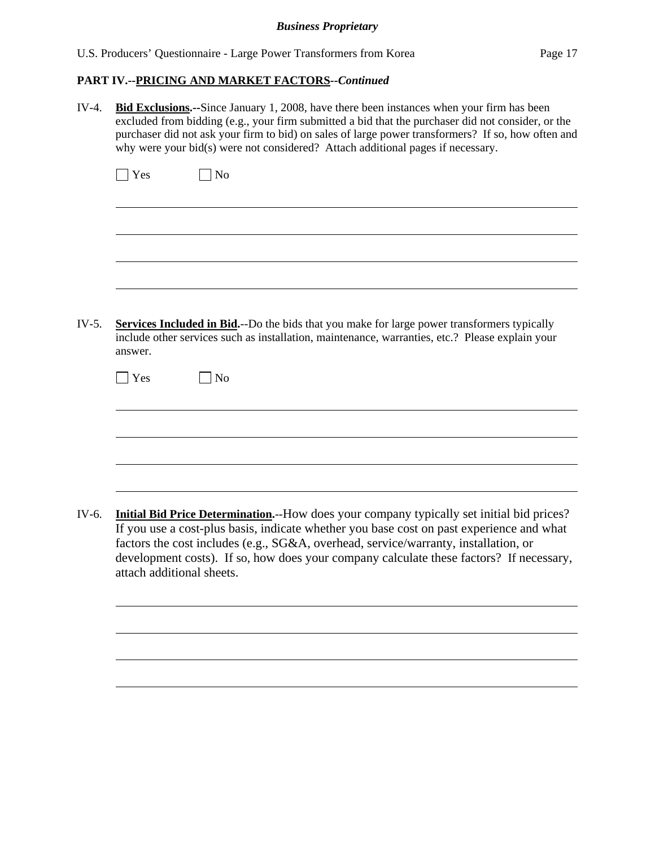## *Business Proprietary*

| IV-4.   | <b>Bid Exclusions.</b> --Since January 1, 2008, have there been instances when your firm has been<br>excluded from bidding (e.g., your firm submitted a bid that the purchaser did not consider, or the<br>purchaser did not ask your firm to bid) on sales of large power transformers? If so, how often and<br>why were your bid(s) were not considered? Attach additional pages if necessary.     |  |  |  |  |
|---------|------------------------------------------------------------------------------------------------------------------------------------------------------------------------------------------------------------------------------------------------------------------------------------------------------------------------------------------------------------------------------------------------------|--|--|--|--|
|         | $\exists$ Yes<br>N <sub>o</sub>                                                                                                                                                                                                                                                                                                                                                                      |  |  |  |  |
|         |                                                                                                                                                                                                                                                                                                                                                                                                      |  |  |  |  |
|         |                                                                                                                                                                                                                                                                                                                                                                                                      |  |  |  |  |
| $IV-5.$ | <b>Services Included in Bid.</b> --Do the bids that you make for large power transformers typically<br>include other services such as installation, maintenance, warranties, etc.? Please explain your<br>answer.                                                                                                                                                                                    |  |  |  |  |
|         | $\blacksquare$ Yes<br>N <sub>o</sub>                                                                                                                                                                                                                                                                                                                                                                 |  |  |  |  |
|         |                                                                                                                                                                                                                                                                                                                                                                                                      |  |  |  |  |
|         |                                                                                                                                                                                                                                                                                                                                                                                                      |  |  |  |  |
| IV-6.   | Initial Bid Price Determination.--How does your company typically set initial bid prices?<br>If you use a cost-plus basis, indicate whether you base cost on past experience and what<br>factors the cost includes (e.g., SG&A, overhead, service/warranty, installation, or<br>development costs). If so, how does your company calculate these factors? If necessary,<br>attach additional sheets. |  |  |  |  |
|         |                                                                                                                                                                                                                                                                                                                                                                                                      |  |  |  |  |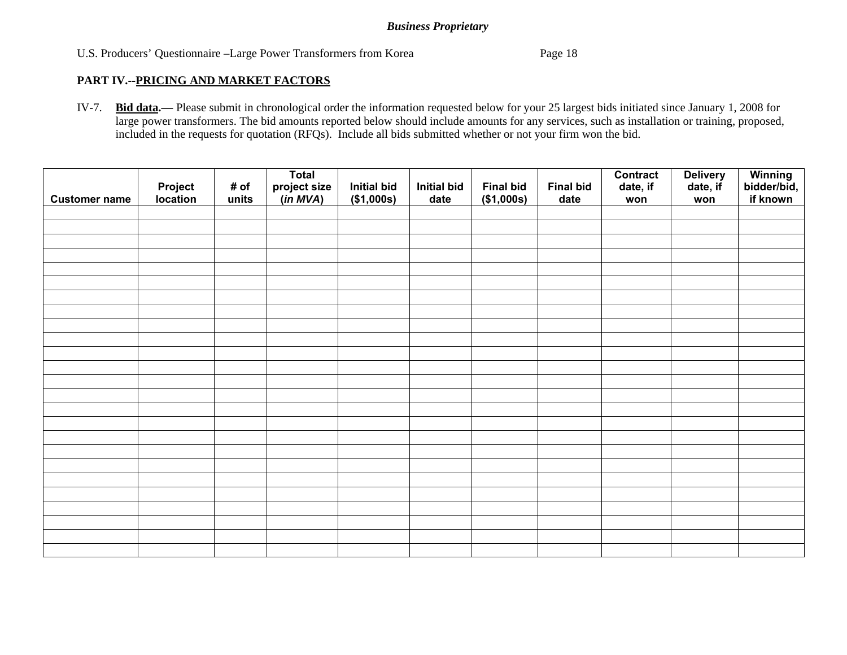## *Business Proprietary*

## U.S. Producers' Questionnaire –Large Power Transformers from Korea Page 18

#### **PART IV.--PRICING AND MARKET FACTORS**

IV-7. **Bid data.—** Please submit in chronological order the information requested below for your 25 largest bids initiated since January 1, 2008 for large power transformers. The bid amounts reported below should include amounts for any services, such as installation or training, proposed, included in the requests for quotation (RFQs). Include all bids submitted whether or not your firm won the bid.

| <b>Customer name</b> | <b>Project</b><br><b>location</b> | # of<br>units | <b>Total</b><br>project size<br>(in MVA) | <b>Initial bid</b><br>(\$1,000s) | <b>Initial bid</b><br>date | <b>Final bid</b><br>(\$1,000s) | <b>Final bid</b><br>date | <b>Contract</b><br>date, if<br>won | <b>Delivery</b><br>date, if<br>won | Winning<br>bidder/bid,<br>if known |
|----------------------|-----------------------------------|---------------|------------------------------------------|----------------------------------|----------------------------|--------------------------------|--------------------------|------------------------------------|------------------------------------|------------------------------------|
|                      |                                   |               |                                          |                                  |                            |                                |                          |                                    |                                    |                                    |
|                      |                                   |               |                                          |                                  |                            |                                |                          |                                    |                                    |                                    |
|                      |                                   |               |                                          |                                  |                            |                                |                          |                                    |                                    |                                    |
|                      |                                   |               |                                          |                                  |                            |                                |                          |                                    |                                    |                                    |
|                      |                                   |               |                                          |                                  |                            |                                |                          |                                    |                                    |                                    |
|                      |                                   |               |                                          |                                  |                            |                                |                          |                                    |                                    |                                    |
|                      |                                   |               |                                          |                                  |                            |                                |                          |                                    |                                    |                                    |
|                      |                                   |               |                                          |                                  |                            |                                |                          |                                    |                                    |                                    |
|                      |                                   |               |                                          |                                  |                            |                                |                          |                                    |                                    |                                    |
|                      |                                   |               |                                          |                                  |                            |                                |                          |                                    |                                    |                                    |
|                      |                                   |               |                                          |                                  |                            |                                |                          |                                    |                                    |                                    |
|                      |                                   |               |                                          |                                  |                            |                                |                          |                                    |                                    |                                    |
|                      |                                   |               |                                          |                                  |                            |                                |                          |                                    |                                    |                                    |
|                      |                                   |               |                                          |                                  |                            |                                |                          |                                    |                                    |                                    |
|                      |                                   |               |                                          |                                  |                            |                                |                          |                                    |                                    |                                    |
|                      |                                   |               |                                          |                                  |                            |                                |                          |                                    |                                    |                                    |
|                      |                                   |               |                                          |                                  |                            |                                |                          |                                    |                                    |                                    |
|                      |                                   |               |                                          |                                  |                            |                                |                          |                                    |                                    |                                    |
|                      |                                   |               |                                          |                                  |                            |                                |                          |                                    |                                    |                                    |
|                      |                                   |               |                                          |                                  |                            |                                |                          |                                    |                                    |                                    |
|                      |                                   |               |                                          |                                  |                            |                                |                          |                                    |                                    |                                    |
|                      |                                   |               |                                          |                                  |                            |                                |                          |                                    |                                    |                                    |
|                      |                                   |               |                                          |                                  |                            |                                |                          |                                    |                                    |                                    |
|                      |                                   |               |                                          |                                  |                            |                                |                          |                                    |                                    |                                    |
|                      |                                   |               |                                          |                                  |                            |                                |                          |                                    |                                    |                                    |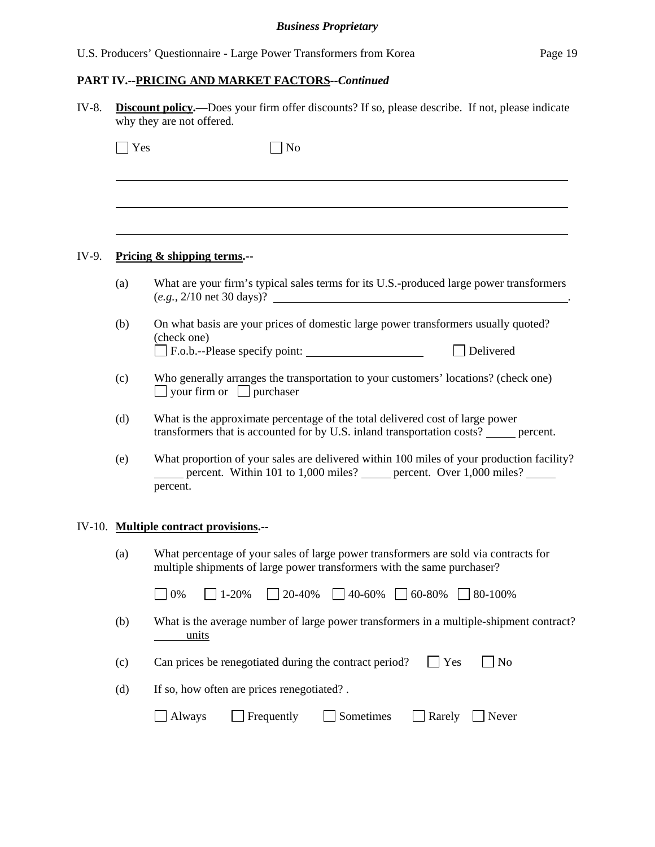| IV-8. | <b>Discount policy.</b> —Does your firm offer discounts? If so, please describe. If not, please indicate<br>why they are not offered. |                                                                                                                                                                                     |  |  |  |
|-------|---------------------------------------------------------------------------------------------------------------------------------------|-------------------------------------------------------------------------------------------------------------------------------------------------------------------------------------|--|--|--|
|       | Yes                                                                                                                                   | $\overline{\rm N}$                                                                                                                                                                  |  |  |  |
|       |                                                                                                                                       |                                                                                                                                                                                     |  |  |  |
| IV-9. |                                                                                                                                       | Pricing & shipping terms.--                                                                                                                                                         |  |  |  |
| (a)   |                                                                                                                                       | What are your firm's typical sales terms for its U.S.-produced large power transformers<br>$(e.g., 2/10 \text{ net } 30 \text{ days})$ ?                                            |  |  |  |
| (b)   |                                                                                                                                       | On what basis are your prices of domestic large power transformers usually quoted?<br>(check one)<br>Delivered                                                                      |  |  |  |
| (c)   |                                                                                                                                       | Who generally arranges the transportation to your customers' locations? (check one)<br>$\Box$ your firm or $\Box$ purchaser                                                         |  |  |  |
| (d)   |                                                                                                                                       | What is the approximate percentage of the total delivered cost of large power<br>transformers that is accounted for by U.S. inland transportation costs? _____ percent.             |  |  |  |
| (e)   |                                                                                                                                       | What proportion of your sales are delivered within 100 miles of your production facility?<br>percent. Within 101 to 1,000 miles? _____ percent. Over 1,000 miles? _____<br>percent. |  |  |  |
|       |                                                                                                                                       | IV-10. Multiple contract provisions.--                                                                                                                                              |  |  |  |
| (a)   |                                                                                                                                       | What percentage of your sales of large power transformers are sold via contracts for<br>multiple shipments of large power transformers with the same purchaser?                     |  |  |  |
|       |                                                                                                                                       | 1-20%<br>20-40%<br>40-60%<br>60-80%<br>0%<br>80-100%                                                                                                                                |  |  |  |
| (b)   |                                                                                                                                       | What is the average number of large power transformers in a multiple-shipment contract?<br>units                                                                                    |  |  |  |
| (c)   |                                                                                                                                       | Can prices be renegotiated during the contract period?<br>Yes<br>N <sub>o</sub>                                                                                                     |  |  |  |
| (d)   |                                                                                                                                       | If so, how often are prices renegotiated?.                                                                                                                                          |  |  |  |
|       |                                                                                                                                       | Frequently<br>Sometimes<br>Always<br>Rarely<br>Never                                                                                                                                |  |  |  |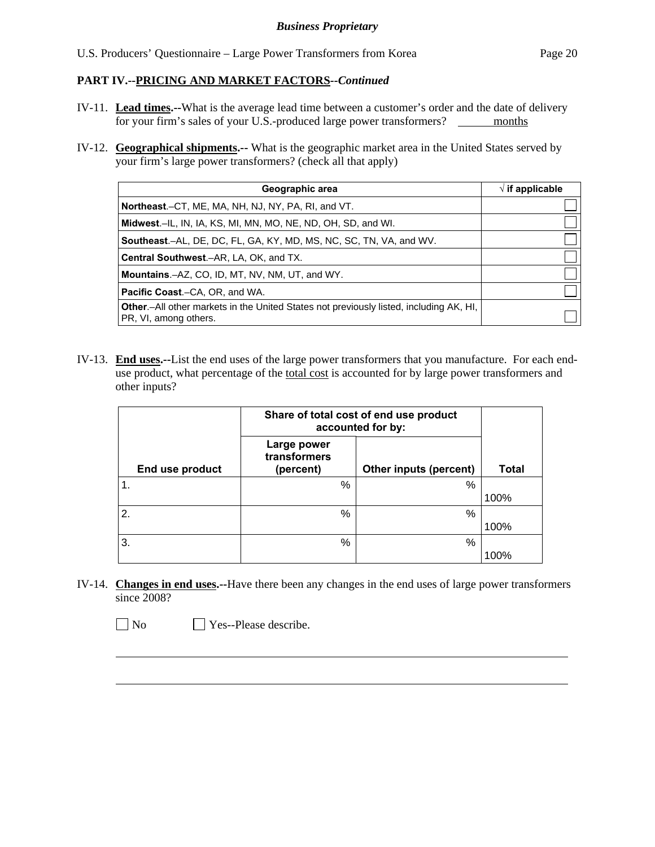- IV-11. **Lead times.--**What is the average lead time between a customer's order and the date of delivery for your firm's sales of your U.S.-produced large power transformers? \_\_\_\_\_\_\_ months
- IV-12. **Geographical shipments.--** What is the geographic market area in the United States served by your firm's large power transformers? (check all that apply)

| Geographic area                                                                                                         | $\sqrt{ }$ if applicable |
|-------------------------------------------------------------------------------------------------------------------------|--------------------------|
| <b>Northeast.</b> –CT, ME, MA, NH, NJ, NY, PA, RI, and VT.                                                              |                          |
| Midwest.-IL, IN, IA, KS, MI, MN, MO, NE, ND, OH, SD, and WI.                                                            |                          |
| <b>Southeast.–AL, DE, DC, FL, GA, KY, MD, MS, NC, SC, TN, VA, and WV.</b>                                               |                          |
| <b>Central Southwest.–AR, LA, OK, and TX.</b>                                                                           |                          |
| <b>Mountains.</b> - AZ, CO, ID, MT, NV, NM, UT, and WY.                                                                 |                          |
| <b>Pacific Coast.–CA, OR, and WA.</b>                                                                                   |                          |
| <b>Other</b> - All other markets in the United States not previously listed, including AK, HI,<br>PR, VI, among others. |                          |

IV-13. **End uses.--**List the end uses of the large power transformers that you manufacture. For each enduse product, what percentage of the total cost is accounted for by large power transformers and other inputs?

|                 | Share of total cost of end use product<br>accounted for by: |                        |              |
|-----------------|-------------------------------------------------------------|------------------------|--------------|
| End use product | Large power<br>transformers<br>(percent)                    | Other inputs (percent) | <b>Total</b> |
| $^{\circ}$ 1.   | %                                                           | %                      |              |
|                 |                                                             |                        | 100%         |
| <sup>2.</sup>   | %                                                           | %                      |              |
|                 |                                                             |                        | 100%         |
| 3.              | %                                                           | %                      |              |
|                 |                                                             |                        | 100%         |

IV-14. **Changes in end uses.--**Have there been any changes in the end uses of large power transformers since 2008?

No **Yes--Please describe.** 

 $\overline{a}$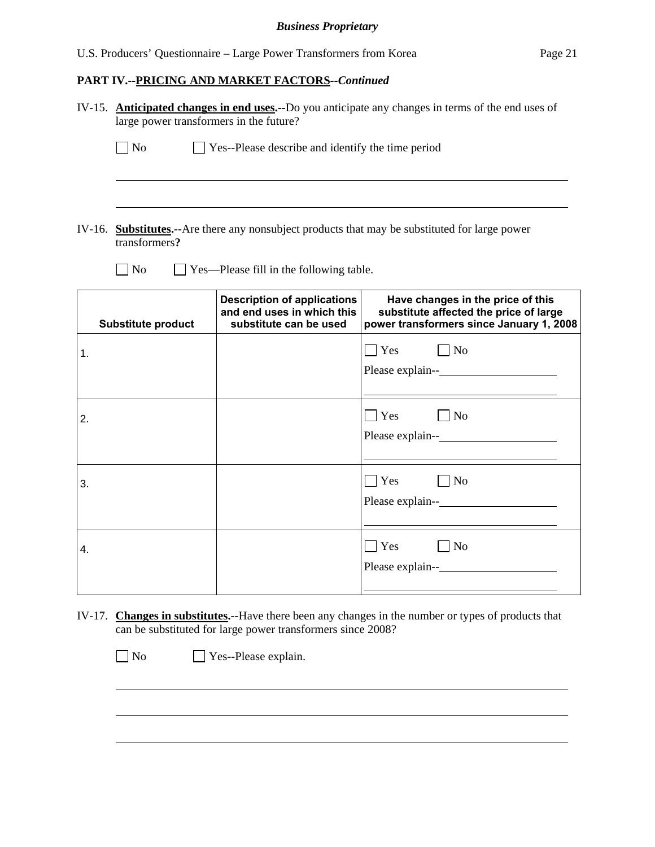|    | IV-15. Anticipated changes in end uses.--Do you anticipate any changes in terms of the end uses of<br>large power transformers in the future? |                                                                                            |                                                                                                                         |  |  |  |  |
|----|-----------------------------------------------------------------------------------------------------------------------------------------------|--------------------------------------------------------------------------------------------|-------------------------------------------------------------------------------------------------------------------------|--|--|--|--|
|    | $\Box$ No<br>$\Box$ Yes--Please describe and identify the time period                                                                         |                                                                                            |                                                                                                                         |  |  |  |  |
|    |                                                                                                                                               |                                                                                            |                                                                                                                         |  |  |  |  |
|    | transformers?                                                                                                                                 |                                                                                            | IV-16. Substitutes.-- Are there any nonsubject products that may be substituted for large power                         |  |  |  |  |
|    | $\log$                                                                                                                                        | Yes—Please fill in the following table.                                                    |                                                                                                                         |  |  |  |  |
|    | <b>Substitute product</b>                                                                                                                     | <b>Description of applications</b><br>and end uses in which this<br>substitute can be used | Have changes in the price of this<br>substitute affected the price of large<br>power transformers since January 1, 2008 |  |  |  |  |
| 1. |                                                                                                                                               |                                                                                            | $\neg$ No<br>$\Box$ Yes                                                                                                 |  |  |  |  |
| 2. |                                                                                                                                               |                                                                                            | $\neg$ No<br>$\Box$ Yes                                                                                                 |  |  |  |  |
| 3. |                                                                                                                                               |                                                                                            | $\neg$ No<br>$\Box$ Yes                                                                                                 |  |  |  |  |
| 4. |                                                                                                                                               |                                                                                            | $\neg$ No<br>$\Box$ Yes                                                                                                 |  |  |  |  |

IV-17. **Changes in substitutes.--**Have there been any changes in the number or types of products that can be substituted for large power transformers since 2008?

No **No** Yes--Please explain.

 $\overline{a}$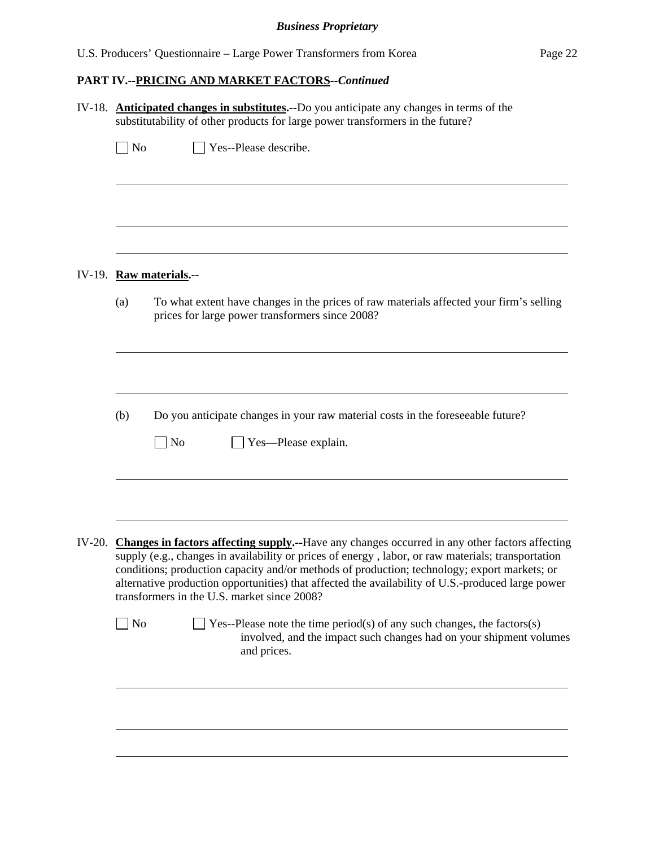## *Business Proprietary*

|           | IV-18. Anticipated changes in substitutes.--Do you anticipate any changes in terms of the<br>substitutability of other products for large power transformers in the future?                                                                                                                                                                                                                                                                                     |  |  |  |  |  |  |
|-----------|-----------------------------------------------------------------------------------------------------------------------------------------------------------------------------------------------------------------------------------------------------------------------------------------------------------------------------------------------------------------------------------------------------------------------------------------------------------------|--|--|--|--|--|--|
| $\Box$ No | Yes--Please describe.                                                                                                                                                                                                                                                                                                                                                                                                                                           |  |  |  |  |  |  |
|           |                                                                                                                                                                                                                                                                                                                                                                                                                                                                 |  |  |  |  |  |  |
|           | IV-19. Raw materials.--                                                                                                                                                                                                                                                                                                                                                                                                                                         |  |  |  |  |  |  |
| (a)       | To what extent have changes in the prices of raw materials affected your firm's selling<br>prices for large power transformers since 2008?                                                                                                                                                                                                                                                                                                                      |  |  |  |  |  |  |
| (b)       | Do you anticipate changes in your raw material costs in the foreseeable future?                                                                                                                                                                                                                                                                                                                                                                                 |  |  |  |  |  |  |
|           | $\overline{\rm ~No}$<br>Yes—Please explain.                                                                                                                                                                                                                                                                                                                                                                                                                     |  |  |  |  |  |  |
|           | IV-20. Changes in factors affecting supply.--Have any changes occurred in any other factors affecting<br>supply (e.g., changes in availability or prices of energy, labor, or raw materials; transportation<br>conditions; production capacity and/or methods of production; technology; export markets; or<br>alternative production opportunities) that affected the availability of U.S.-produced large power<br>transformers in the U.S. market since 2008? |  |  |  |  |  |  |
| $\Box$ No | $\Box$ Yes--Please note the time period(s) of any such changes, the factors(s)<br>involved, and the impact such changes had on your shipment volumes<br>and prices.                                                                                                                                                                                                                                                                                             |  |  |  |  |  |  |
|           |                                                                                                                                                                                                                                                                                                                                                                                                                                                                 |  |  |  |  |  |  |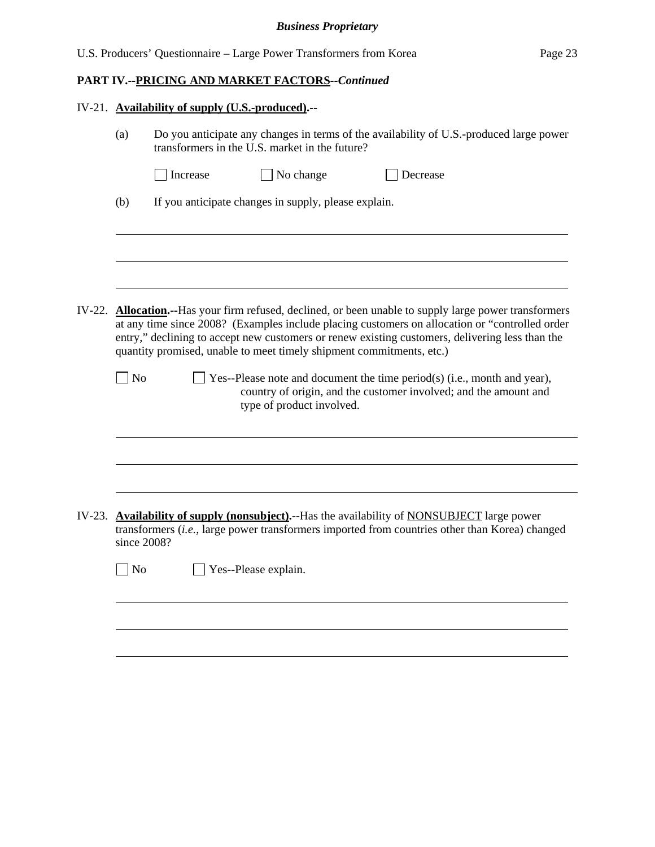## *Business Proprietary*

|                                                                                                                                                                                                                                                                                                                                                                                                                                                                                                                                                                                        | IV-21. Availability of supply (U.S.-produced).--                                                                                                                                              |  |  |  |  |  |
|----------------------------------------------------------------------------------------------------------------------------------------------------------------------------------------------------------------------------------------------------------------------------------------------------------------------------------------------------------------------------------------------------------------------------------------------------------------------------------------------------------------------------------------------------------------------------------------|-----------------------------------------------------------------------------------------------------------------------------------------------------------------------------------------------|--|--|--|--|--|
| (a)                                                                                                                                                                                                                                                                                                                                                                                                                                                                                                                                                                                    | Do you anticipate any changes in terms of the availability of U.S.-produced large power<br>transformers in the U.S. market in the future?                                                     |  |  |  |  |  |
|                                                                                                                                                                                                                                                                                                                                                                                                                                                                                                                                                                                        | No change<br>Increase<br>Decrease                                                                                                                                                             |  |  |  |  |  |
| (b)                                                                                                                                                                                                                                                                                                                                                                                                                                                                                                                                                                                    | If you anticipate changes in supply, please explain.                                                                                                                                          |  |  |  |  |  |
|                                                                                                                                                                                                                                                                                                                                                                                                                                                                                                                                                                                        |                                                                                                                                                                                               |  |  |  |  |  |
|                                                                                                                                                                                                                                                                                                                                                                                                                                                                                                                                                                                        |                                                                                                                                                                                               |  |  |  |  |  |
| IV-22. <b>Allocation.</b> --Has your firm refused, declined, or been unable to supply large power transformers<br>at any time since 2008? (Examples include placing customers on allocation or "controlled order<br>entry," declining to accept new customers or renew existing customers, delivering less than the<br>quantity promised, unable to meet timely shipment commitments, etc.)<br>$\n  1$ No<br>Yes--Please note and document the time period(s) (i.e., month and year),<br>country of origin, and the customer involved; and the amount and<br>type of product involved. |                                                                                                                                                                                               |  |  |  |  |  |
|                                                                                                                                                                                                                                                                                                                                                                                                                                                                                                                                                                                        |                                                                                                                                                                                               |  |  |  |  |  |
|                                                                                                                                                                                                                                                                                                                                                                                                                                                                                                                                                                                        |                                                                                                                                                                                               |  |  |  |  |  |
| since 2008?                                                                                                                                                                                                                                                                                                                                                                                                                                                                                                                                                                            | IV-23. Availability of supply (nonsubject).--Has the availability of NONSUBJECT large power<br>transformers (i.e., large power transformers imported from countries other than Korea) changed |  |  |  |  |  |
| $\n  o$                                                                                                                                                                                                                                                                                                                                                                                                                                                                                                                                                                                | Yes--Please explain.                                                                                                                                                                          |  |  |  |  |  |
|                                                                                                                                                                                                                                                                                                                                                                                                                                                                                                                                                                                        |                                                                                                                                                                                               |  |  |  |  |  |
|                                                                                                                                                                                                                                                                                                                                                                                                                                                                                                                                                                                        |                                                                                                                                                                                               |  |  |  |  |  |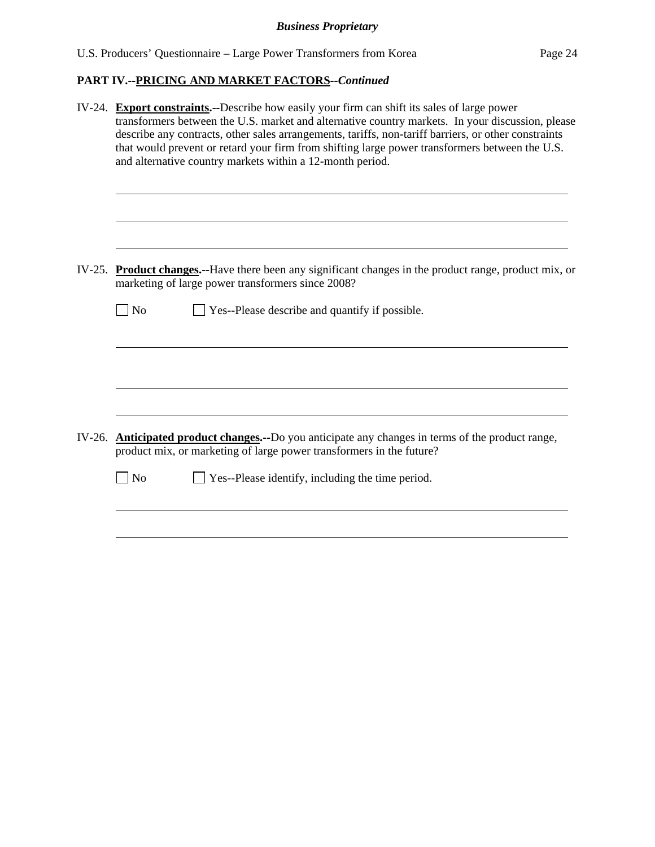|        | IV-24. Export constraints.--Describe how easily your firm can shift its sales of large power<br>transformers between the U.S. market and alternative country markets. In your discussion, please<br>describe any contracts, other sales arrangements, tariffs, non-tariff barriers, or other constraints<br>that would prevent or retard your firm from shifting large power transformers between the U.S.<br>and alternative country markets within a 12-month period. |  |  |  |  |  |  |
|--------|-------------------------------------------------------------------------------------------------------------------------------------------------------------------------------------------------------------------------------------------------------------------------------------------------------------------------------------------------------------------------------------------------------------------------------------------------------------------------|--|--|--|--|--|--|
|        | IV-25. Product changes.--Have there been any significant changes in the product range, product mix, or<br>marketing of large power transformers since 2008?                                                                                                                                                                                                                                                                                                             |  |  |  |  |  |  |
|        | Yes--Please describe and quantify if possible.<br>$\Box$ No                                                                                                                                                                                                                                                                                                                                                                                                             |  |  |  |  |  |  |
|        |                                                                                                                                                                                                                                                                                                                                                                                                                                                                         |  |  |  |  |  |  |
| IV-26. | <b>Anticipated product changes.</b> --Do you anticipate any changes in terms of the product range,<br>product mix, or marketing of large power transformers in the future?                                                                                                                                                                                                                                                                                              |  |  |  |  |  |  |
|        | Yes--Please identify, including the time period.<br>N <sub>o</sub>                                                                                                                                                                                                                                                                                                                                                                                                      |  |  |  |  |  |  |
|        |                                                                                                                                                                                                                                                                                                                                                                                                                                                                         |  |  |  |  |  |  |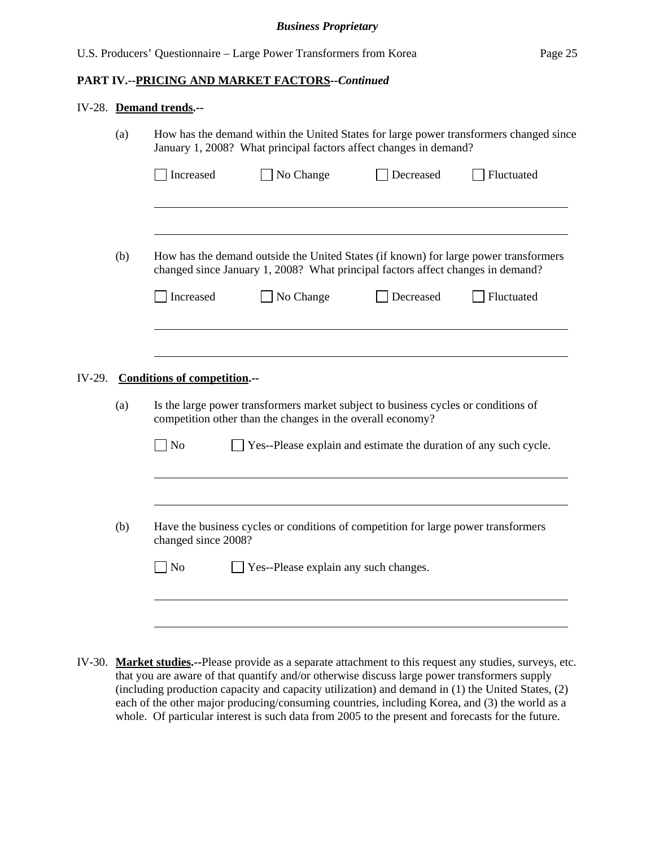#### IV-28. **Demand trends.--**

|        | (a)                                 | How has the demand within the United States for large power transformers changed since<br>January 1, 2008? What principal factors affect changes in demand? |                                                                                    |                                                                                      |            |  |  |  |  |
|--------|-------------------------------------|-------------------------------------------------------------------------------------------------------------------------------------------------------------|------------------------------------------------------------------------------------|--------------------------------------------------------------------------------------|------------|--|--|--|--|
|        |                                     | Increased                                                                                                                                                   | No Change                                                                          | Decreased                                                                            | Fluctuated |  |  |  |  |
|        |                                     |                                                                                                                                                             |                                                                                    |                                                                                      |            |  |  |  |  |
|        | (b)                                 |                                                                                                                                                             | changed since January 1, 2008? What principal factors affect changes in demand?    | How has the demand outside the United States (if known) for large power transformers |            |  |  |  |  |
|        |                                     | Increased                                                                                                                                                   | No Change                                                                          | Decreased                                                                            | Fluctuated |  |  |  |  |
|        |                                     |                                                                                                                                                             |                                                                                    |                                                                                      |            |  |  |  |  |
| IV-29. | <b>Conditions of competition.--</b> |                                                                                                                                                             |                                                                                    |                                                                                      |            |  |  |  |  |
|        | (a)                                 | Is the large power transformers market subject to business cycles or conditions of<br>competition other than the changes in the overall economy?            |                                                                                    |                                                                                      |            |  |  |  |  |
|        |                                     | N <sub>o</sub>                                                                                                                                              | Yes--Please explain and estimate the duration of any such cycle.                   |                                                                                      |            |  |  |  |  |
|        |                                     |                                                                                                                                                             |                                                                                    |                                                                                      |            |  |  |  |  |
|        | (b)                                 | changed since 2008?                                                                                                                                         | Have the business cycles or conditions of competition for large power transformers |                                                                                      |            |  |  |  |  |
|        |                                     | No                                                                                                                                                          | Yes--Please explain any such changes.                                              |                                                                                      |            |  |  |  |  |
|        |                                     |                                                                                                                                                             |                                                                                    |                                                                                      |            |  |  |  |  |

IV-30. **Market studies.--**Please provide as a separate attachment to this request any studies, surveys, etc. that you are aware of that quantify and/or otherwise discuss large power transformers supply (including production capacity and capacity utilization) and demand in (1) the United States, (2) each of the other major producing/consuming countries, including Korea, and (3) the world as a whole. Of particular interest is such data from 2005 to the present and forecasts for the future.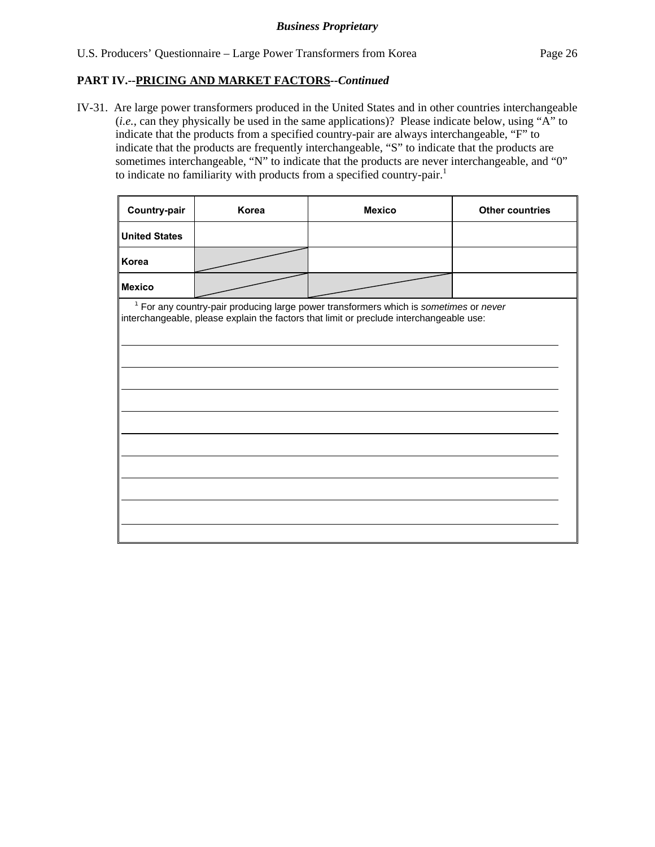IV-31. Are large power transformers produced in the United States and in other countries interchangeable (*i.e.*, can they physically be used in the same applications)? Please indicate below, using "A" to indicate that the products from a specified country-pair are always interchangeable, "F" to indicate that the products are frequently interchangeable, "S" to indicate that the products are sometimes interchangeable, "N" to indicate that the products are never interchangeable, and "0" to indicate no familiarity with products from a specified country-pair.<sup>1</sup>

| Country-pair                                                                                                                                                                                | Korea<br><b>Mexico</b> |  | <b>Other countries</b> |  |  |  |  |
|---------------------------------------------------------------------------------------------------------------------------------------------------------------------------------------------|------------------------|--|------------------------|--|--|--|--|
| <b>United States</b>                                                                                                                                                                        |                        |  |                        |  |  |  |  |
| Korea                                                                                                                                                                                       |                        |  |                        |  |  |  |  |
| <b>Mexico</b>                                                                                                                                                                               |                        |  |                        |  |  |  |  |
| <sup>1</sup> For any country-pair producing large power transformers which is sometimes or never<br>interchangeable, please explain the factors that limit or preclude interchangeable use: |                        |  |                        |  |  |  |  |
|                                                                                                                                                                                             |                        |  |                        |  |  |  |  |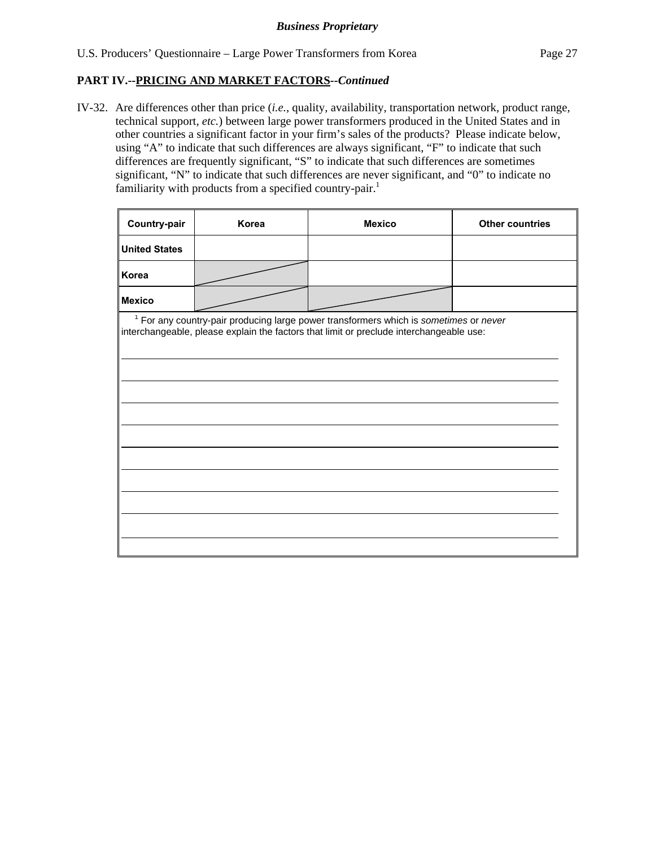IV-32. Are differences other than price (*i.e.*, quality, availability, transportation network, product range, technical support, *etc.*) between large power transformers produced in the United States and in other countries a significant factor in your firm's sales of the products? Please indicate below, using "A" to indicate that such differences are always significant, "F" to indicate that such differences are frequently significant, "S" to indicate that such differences are sometimes significant, "N" to indicate that such differences are never significant, and "0" to indicate no familiarity with products from a specified country-pair.<sup>1</sup>

| Country-pair         | Korea | <b>Mexico</b>                                                                                                                                                                      | <b>Other countries</b> |
|----------------------|-------|------------------------------------------------------------------------------------------------------------------------------------------------------------------------------------|------------------------|
| <b>United States</b> |       |                                                                                                                                                                                    |                        |
| Korea                |       |                                                                                                                                                                                    |                        |
| Mexico               |       |                                                                                                                                                                                    |                        |
|                      |       | $1$ For any country-pair producing large power transformers which is sometimes or never<br>interchangeable, please explain the factors that limit or preclude interchangeable use: |                        |
|                      |       |                                                                                                                                                                                    |                        |
|                      |       |                                                                                                                                                                                    |                        |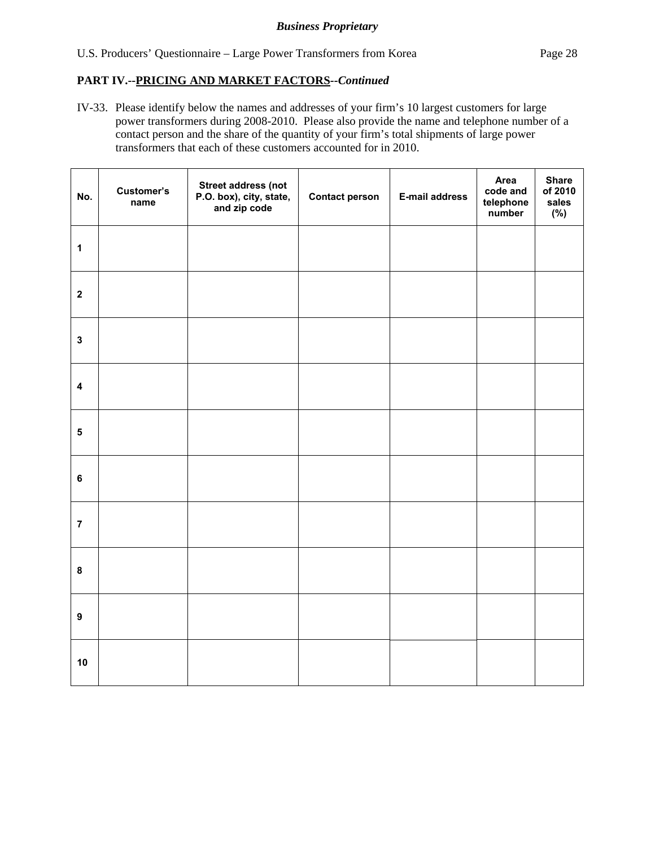IV-33. Please identify below the names and addresses of your firm's 10 largest customers for large power transformers during 2008-2010. Please also provide the name and telephone number of a contact person and the share of the quantity of your firm's total shipments of large power transformers that each of these customers accounted for in 2010.

| No.                     | Customer's<br>name | <b>Street address (not</b><br>P.O. box), city, state,<br>and zip code | <b>Contact person</b> | <b>E-mail address</b> | Area<br>code and<br>telephone<br>number | <b>Share</b><br>of 2010<br>sales<br>(%) |
|-------------------------|--------------------|-----------------------------------------------------------------------|-----------------------|-----------------------|-----------------------------------------|-----------------------------------------|
| $\mathbf{1}$            |                    |                                                                       |                       |                       |                                         |                                         |
| $\mathbf{2}$            |                    |                                                                       |                       |                       |                                         |                                         |
| $\mathbf{3}$            |                    |                                                                       |                       |                       |                                         |                                         |
| $\overline{\mathbf{4}}$ |                    |                                                                       |                       |                       |                                         |                                         |
| $\overline{\mathbf{5}}$ |                    |                                                                       |                       |                       |                                         |                                         |
| $\bf 6$                 |                    |                                                                       |                       |                       |                                         |                                         |
| $\overline{7}$          |                    |                                                                       |                       |                       |                                         |                                         |
| $\bf{8}$                |                    |                                                                       |                       |                       |                                         |                                         |
| $\boldsymbol{9}$        |                    |                                                                       |                       |                       |                                         |                                         |
| 10                      |                    |                                                                       |                       |                       |                                         |                                         |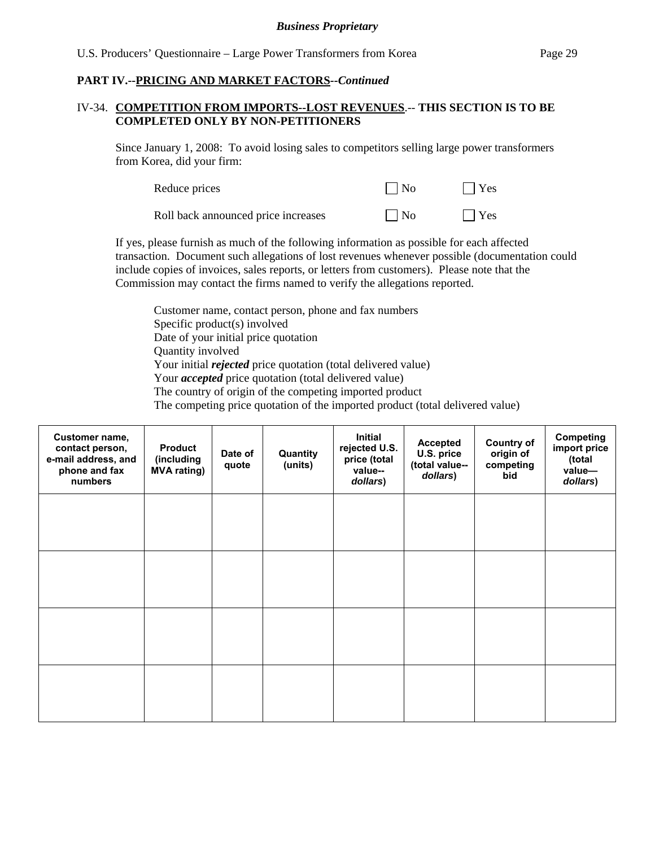#### IV-34. **COMPETITION FROM IMPORTS--LOST REVENUES**.-- **THIS SECTION IS TO BE COMPLETED ONLY BY NON-PETITIONERS**

Since January 1, 2008: To avoid losing sales to competitors selling large power transformers from Korea, did your firm:

| Reduce prices                       | $\Box$ No    | $\Box$ Yes |
|-------------------------------------|--------------|------------|
| Roll back announced price increases | $\vert$   No | $\Box$ Yes |

If yes, please furnish as much of the following information as possible for each affected transaction. Document such allegations of lost revenues whenever possible (documentation could include copies of invoices, sales reports, or letters from customers). Please note that the Commission may contact the firms named to verify the allegations reported.

Customer name, contact person, phone and fax numbers Specific product(s) involved Date of your initial price quotation Quantity involved Your initial *rejected* price quotation (total delivered value) Your *accepted* price quotation (total delivered value) The country of origin of the competing imported product The competing price quotation of the imported product (total delivered value)

| Customer name,<br>contact person,<br>e-mail address, and<br>phone and fax<br>numbers | <b>Product</b><br>(including<br><b>MVA rating)</b> | Date of<br>quote | Quantity<br>(units) | <b>Initial</b><br>rejected U.S.<br>price (total<br>value--<br>dollars) | <b>Accepted</b><br>U.S. price<br>(total value--<br>dollars) | <b>Country of</b><br>origin of<br>competing<br>bid | Competing<br>import price<br>(total<br>value-<br>dollars) |
|--------------------------------------------------------------------------------------|----------------------------------------------------|------------------|---------------------|------------------------------------------------------------------------|-------------------------------------------------------------|----------------------------------------------------|-----------------------------------------------------------|
|                                                                                      |                                                    |                  |                     |                                                                        |                                                             |                                                    |                                                           |
|                                                                                      |                                                    |                  |                     |                                                                        |                                                             |                                                    |                                                           |
|                                                                                      |                                                    |                  |                     |                                                                        |                                                             |                                                    |                                                           |
|                                                                                      |                                                    |                  |                     |                                                                        |                                                             |                                                    |                                                           |